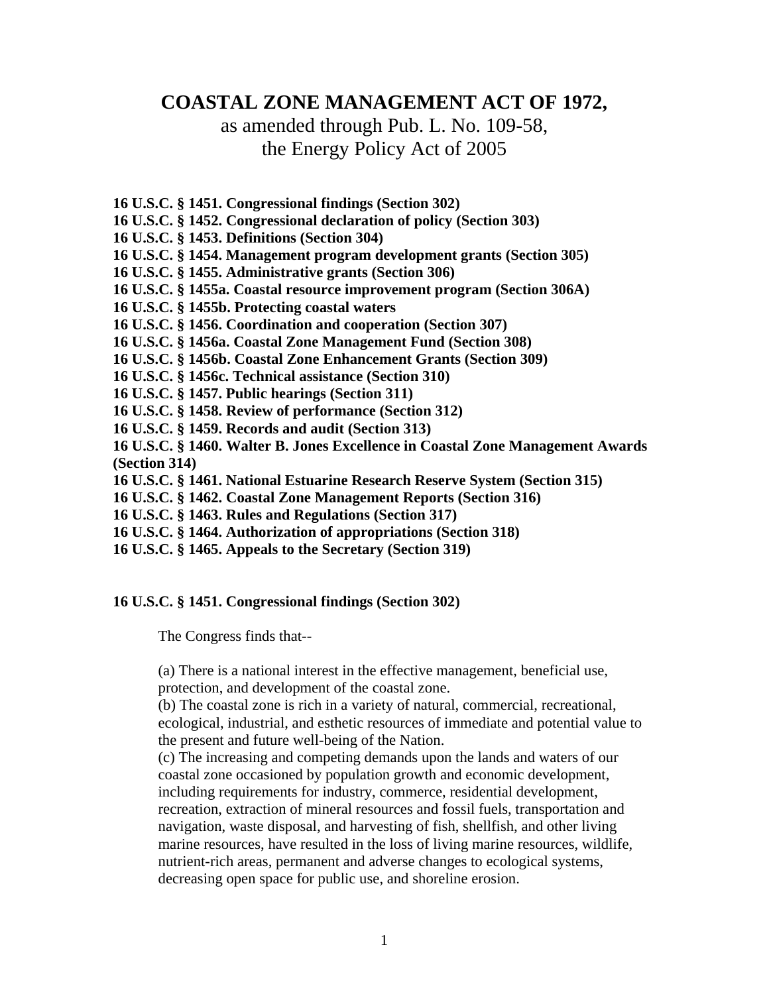# **COASTAL ZONE MANAGEMENT ACT OF 1972,**

as amended through Pub. L. No. 109-58, the Energy Policy Act of 2005

**16 U.S.C. § 1451. Congressional findings (Section 302)** 

**16 U.S.C. § 1452. Congressional declaration of policy (Section 303)** 

**16 U.S.C. § 1453. Definitions (Section 304)** 

**16 U.S.C. § 1454. Management program development grants (Section 305)** 

**16 U.S.C. § 1455. Administrative grants (Section 306)** 

**16 U.S.C. § 1455a. Coastal resource improvement program (Section 306A)** 

**16 U.S.C. § 1455b. Protecting coastal waters** 

**16 U.S.C. § 1456. Coordination and cooperation (Section 307)** 

**16 U.S.C. § 1456a. Coastal Zone Management Fund (Section 308)** 

**16 U.S.C. § 1456b. Coastal Zone Enhancement Grants (Section 309)** 

**16 U.S.C. § 1456c. Technical assistance (Section 310)** 

**16 U.S.C. § 1457. Public hearings (Section 311)** 

**16 U.S.C. § 1458. Review of performance (Section 312)** 

**16 U.S.C. § 1459. Records and audit (Section 313)** 

**16 U.S.C. § 1460. Walter B. Jones Excellence in Coastal Zone Management Awards (Section 314)** 

**16 U.S.C. § 1461. National Estuarine Research Reserve System (Section 315)** 

**16 U.S.C. § 1462. Coastal Zone Management Reports (Section 316)** 

**16 U.S.C. § 1463. Rules and Regulations (Section 317)** 

**16 U.S.C. § 1464. Authorization of appropriations (Section 318)** 

**16 U.S.C. § 1465. Appeals to the Secretary (Section 319)** 

# **16 U.S.C. § 1451. Congressional findings (Section 302)**

The Congress finds that--

(a) There is a national interest in the effective management, beneficial use, protection, and development of the coastal zone.

(b) The coastal zone is rich in a variety of natural, commercial, recreational, ecological, industrial, and esthetic resources of immediate and potential value to the present and future well-being of the Nation.

(c) The increasing and competing demands upon the lands and waters of our coastal zone occasioned by population growth and economic development, including requirements for industry, commerce, residential development, recreation, extraction of mineral resources and fossil fuels, transportation and navigation, waste disposal, and harvesting of fish, shellfish, and other living marine resources, have resulted in the loss of living marine resources, wildlife, nutrient-rich areas, permanent and adverse changes to ecological systems, decreasing open space for public use, and shoreline erosion.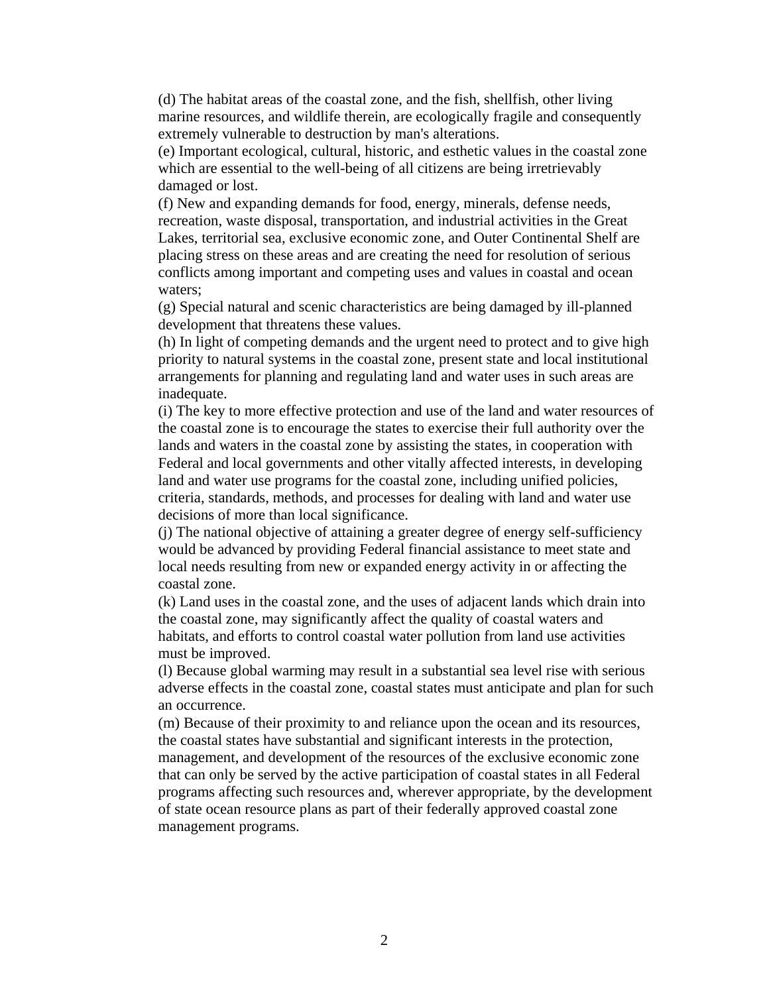(d) The habitat areas of the coastal zone, and the fish, shellfish, other living marine resources, and wildlife therein, are ecologically fragile and consequently extremely vulnerable to destruction by man's alterations.

(e) Important ecological, cultural, historic, and esthetic values in the coastal zone which are essential to the well-being of all citizens are being irretrievably damaged or lost.

(f) New and expanding demands for food, energy, minerals, defense needs, recreation, waste disposal, transportation, and industrial activities in the Great Lakes, territorial sea, exclusive economic zone, and Outer Continental Shelf are placing stress on these areas and are creating the need for resolution of serious conflicts among important and competing uses and values in coastal and ocean waters;

(g) Special natural and scenic characteristics are being damaged by ill-planned development that threatens these values.

(h) In light of competing demands and the urgent need to protect and to give high priority to natural systems in the coastal zone, present state and local institutional arrangements for planning and regulating land and water uses in such areas are inadequate.

(i) The key to more effective protection and use of the land and water resources of the coastal zone is to encourage the states to exercise their full authority over the lands and waters in the coastal zone by assisting the states, in cooperation with Federal and local governments and other vitally affected interests, in developing land and water use programs for the coastal zone, including unified policies, criteria, standards, methods, and processes for dealing with land and water use decisions of more than local significance.

(j) The national objective of attaining a greater degree of energy self-sufficiency would be advanced by providing Federal financial assistance to meet state and local needs resulting from new or expanded energy activity in or affecting the coastal zone.

(k) Land uses in the coastal zone, and the uses of adjacent lands which drain into the coastal zone, may significantly affect the quality of coastal waters and habitats, and efforts to control coastal water pollution from land use activities must be improved.

(l) Because global warming may result in a substantial sea level rise with serious adverse effects in the coastal zone, coastal states must anticipate and plan for such an occurrence.

(m) Because of their proximity to and reliance upon the ocean and its resources, the coastal states have substantial and significant interests in the protection, management, and development of the resources of the exclusive economic zone that can only be served by the active participation of coastal states in all Federal programs affecting such resources and, wherever appropriate, by the development of state ocean resource plans as part of their federally approved coastal zone management programs.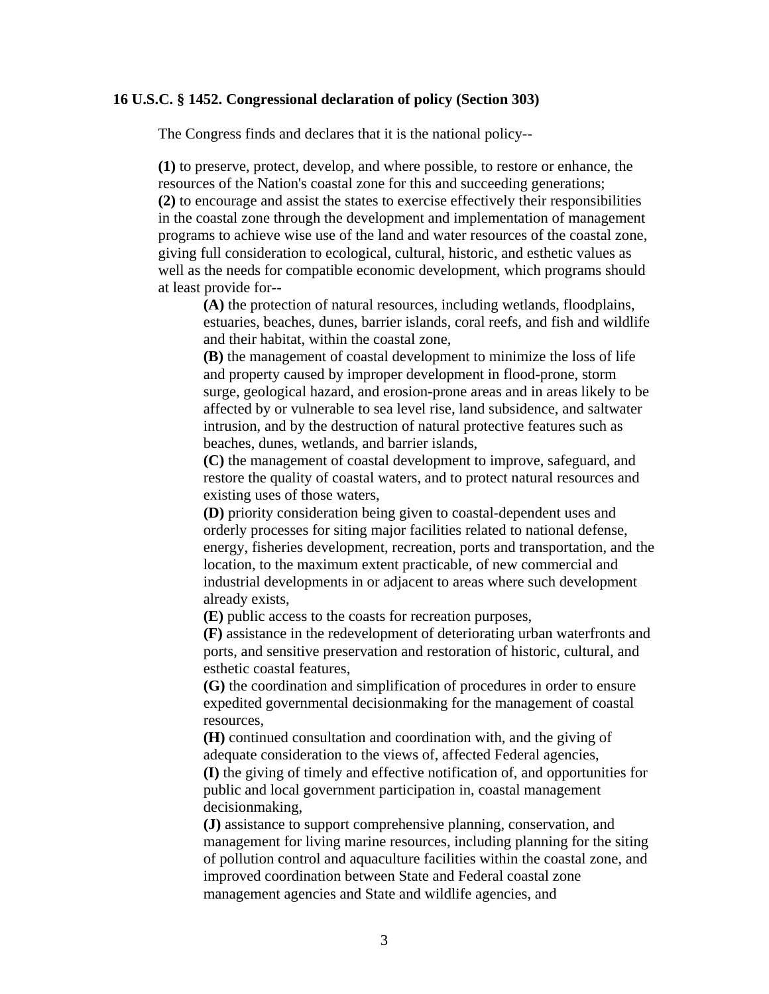### **16 U.S.C. § 1452. Congressional declaration of policy (Section 303)**

The Congress finds and declares that it is the national policy--

**(1)** to preserve, protect, develop, and where possible, to restore or enhance, the resources of the Nation's coastal zone for this and succeeding generations; **(2)** to encourage and assist the states to exercise effectively their responsibilities in the coastal zone through the development and implementation of management programs to achieve wise use of the land and water resources of the coastal zone, giving full consideration to ecological, cultural, historic, and esthetic values as well as the needs for compatible economic development, which programs should at least provide for--

**(A)** the protection of natural resources, including wetlands, floodplains, estuaries, beaches, dunes, barrier islands, coral reefs, and fish and wildlife and their habitat, within the coastal zone,

**(B)** the management of coastal development to minimize the loss of life and property caused by improper development in flood-prone, storm surge, geological hazard, and erosion-prone areas and in areas likely to be affected by or vulnerable to sea level rise, land subsidence, and saltwater intrusion, and by the destruction of natural protective features such as beaches, dunes, wetlands, and barrier islands,

**(C)** the management of coastal development to improve, safeguard, and restore the quality of coastal waters, and to protect natural resources and existing uses of those waters,

**(D)** priority consideration being given to coastal-dependent uses and orderly processes for siting major facilities related to national defense, energy, fisheries development, recreation, ports and transportation, and the location, to the maximum extent practicable, of new commercial and industrial developments in or adjacent to areas where such development already exists,

**(E)** public access to the coasts for recreation purposes,

**(F)** assistance in the redevelopment of deteriorating urban waterfronts and ports, and sensitive preservation and restoration of historic, cultural, and esthetic coastal features,

**(G)** the coordination and simplification of procedures in order to ensure expedited governmental decisionmaking for the management of coastal resources,

**(H)** continued consultation and coordination with, and the giving of adequate consideration to the views of, affected Federal agencies, **(I)** the giving of timely and effective notification of, and opportunities for public and local government participation in, coastal management decisionmaking,

**(J)** assistance to support comprehensive planning, conservation, and management for living marine resources, including planning for the siting of pollution control and aquaculture facilities within the coastal zone, and improved coordination between State and Federal coastal zone management agencies and State and wildlife agencies, and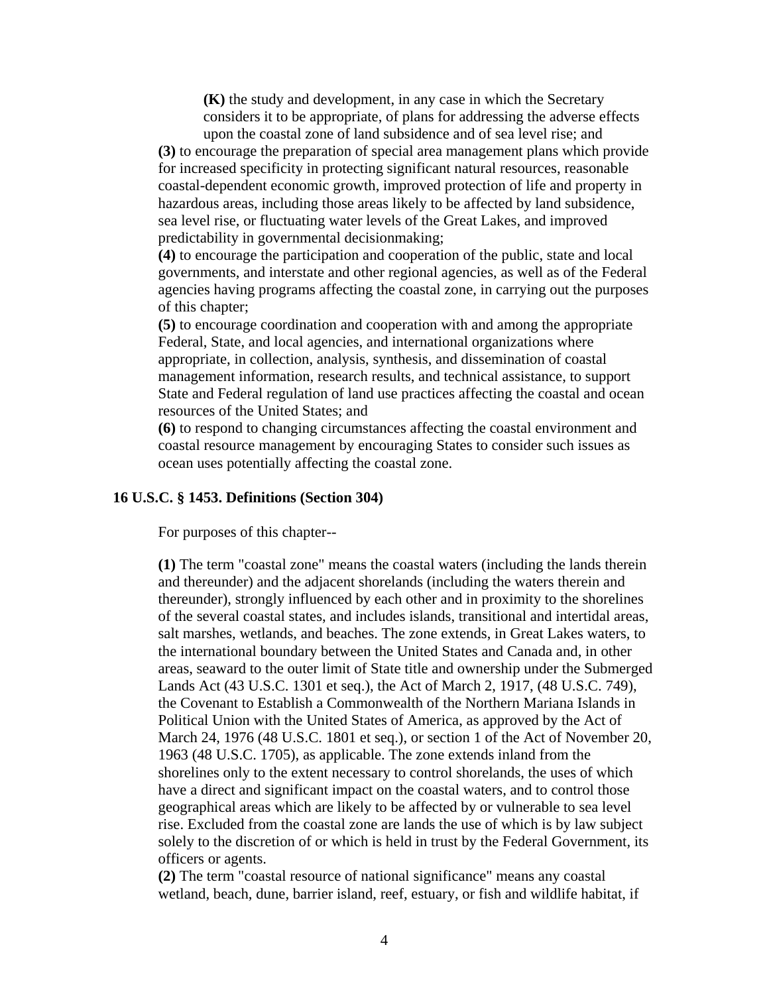**(K)** the study and development, in any case in which the Secretary considers it to be appropriate, of plans for addressing the adverse effects upon the coastal zone of land subsidence and of sea level rise; and

**(3)** to encourage the preparation of special area management plans which provide for increased specificity in protecting significant natural resources, reasonable coastal-dependent economic growth, improved protection of life and property in hazardous areas, including those areas likely to be affected by land subsidence, sea level rise, or fluctuating water levels of the Great Lakes, and improved predictability in governmental decisionmaking;

**(4)** to encourage the participation and cooperation of the public, state and local governments, and interstate and other regional agencies, as well as of the Federal agencies having programs affecting the coastal zone, in carrying out the purposes of this chapter;

**(5)** to encourage coordination and cooperation with and among the appropriate Federal, State, and local agencies, and international organizations where appropriate, in collection, analysis, synthesis, and dissemination of coastal management information, research results, and technical assistance, to support State and Federal regulation of land use practices affecting the coastal and ocean resources of the United States; and

**(6)** to respond to changing circumstances affecting the coastal environment and coastal resource management by encouraging States to consider such issues as ocean uses potentially affecting the coastal zone.

# **16 U.S.C. § 1453. Definitions (Section 304)**

For purposes of this chapter--

**(1)** The term "coastal zone" means the coastal waters (including the lands therein and thereunder) and the adjacent shorelands (including the waters therein and thereunder), strongly influenced by each other and in proximity to the shorelines of the several coastal states, and includes islands, transitional and intertidal areas, salt marshes, wetlands, and beaches. The zone extends, in Great Lakes waters, to the international boundary between the United States and Canada and, in other areas, seaward to the outer limit of State title and ownership under the Submerged Lands Act (43 U.S.C. 1301 et seq.), the Act of March 2, 1917, (48 U.S.C. 749), the Covenant to Establish a Commonwealth of the Northern Mariana Islands in Political Union with the United States of America, as approved by the Act of March 24, 1976 (48 U.S.C. 1801 et seq.), or section 1 of the Act of November 20, 1963 (48 U.S.C. 1705), as applicable. The zone extends inland from the shorelines only to the extent necessary to control shorelands, the uses of which have a direct and significant impact on the coastal waters, and to control those geographical areas which are likely to be affected by or vulnerable to sea level rise. Excluded from the coastal zone are lands the use of which is by law subject solely to the discretion of or which is held in trust by the Federal Government, its officers or agents.

**(2)** The term "coastal resource of national significance" means any coastal wetland, beach, dune, barrier island, reef, estuary, or fish and wildlife habitat, if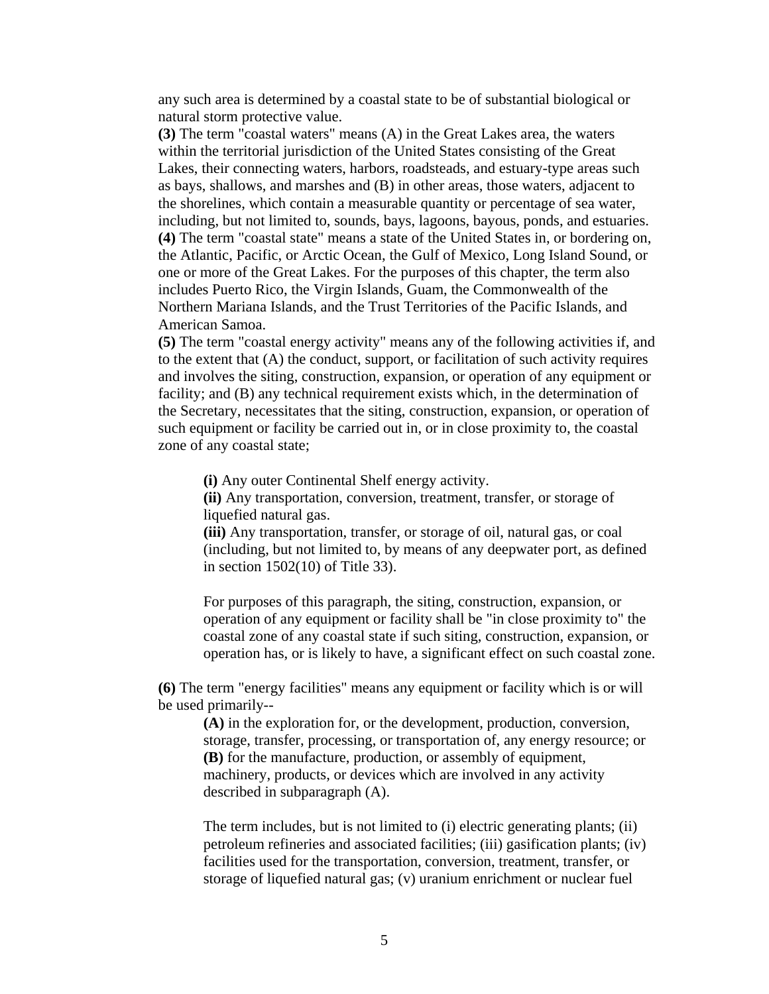any such area is determined by a coastal state to be of substantial biological or natural storm protective value.

**(3)** The term "coastal waters" means (A) in the Great Lakes area, the waters within the territorial jurisdiction of the United States consisting of the Great Lakes, their connecting waters, harbors, roadsteads, and estuary-type areas such as bays, shallows, and marshes and (B) in other areas, those waters, adjacent to the shorelines, which contain a measurable quantity or percentage of sea water, including, but not limited to, sounds, bays, lagoons, bayous, ponds, and estuaries. **(4)** The term "coastal state" means a state of the United States in, or bordering on, the Atlantic, Pacific, or Arctic Ocean, the Gulf of Mexico, Long Island Sound, or one or more of the Great Lakes. For the purposes of this chapter, the term also includes Puerto Rico, the Virgin Islands, Guam, the Commonwealth of the Northern Mariana Islands, and the Trust Territories of the Pacific Islands, and American Samoa.

**(5)** The term "coastal energy activity" means any of the following activities if, and to the extent that (A) the conduct, support, or facilitation of such activity requires and involves the siting, construction, expansion, or operation of any equipment or facility; and (B) any technical requirement exists which, in the determination of the Secretary, necessitates that the siting, construction, expansion, or operation of such equipment or facility be carried out in, or in close proximity to, the coastal zone of any coastal state;

**(i)** Any outer Continental Shelf energy activity.

**(ii)** Any transportation, conversion, treatment, transfer, or storage of liquefied natural gas.

**(iii)** Any transportation, transfer, or storage of oil, natural gas, or coal (including, but not limited to, by means of any deepwater port, as defined in section 1502(10) of Title 33).

For purposes of this paragraph, the siting, construction, expansion, or operation of any equipment or facility shall be "in close proximity to" the coastal zone of any coastal state if such siting, construction, expansion, or operation has, or is likely to have, a significant effect on such coastal zone.

**(6)** The term "energy facilities" means any equipment or facility which is or will be used primarily--

**(A)** in the exploration for, or the development, production, conversion, storage, transfer, processing, or transportation of, any energy resource; or **(B)** for the manufacture, production, or assembly of equipment, machinery, products, or devices which are involved in any activity described in subparagraph (A).

The term includes, but is not limited to (i) electric generating plants; (ii) petroleum refineries and associated facilities; (iii) gasification plants; (iv) facilities used for the transportation, conversion, treatment, transfer, or storage of liquefied natural gas; (v) uranium enrichment or nuclear fuel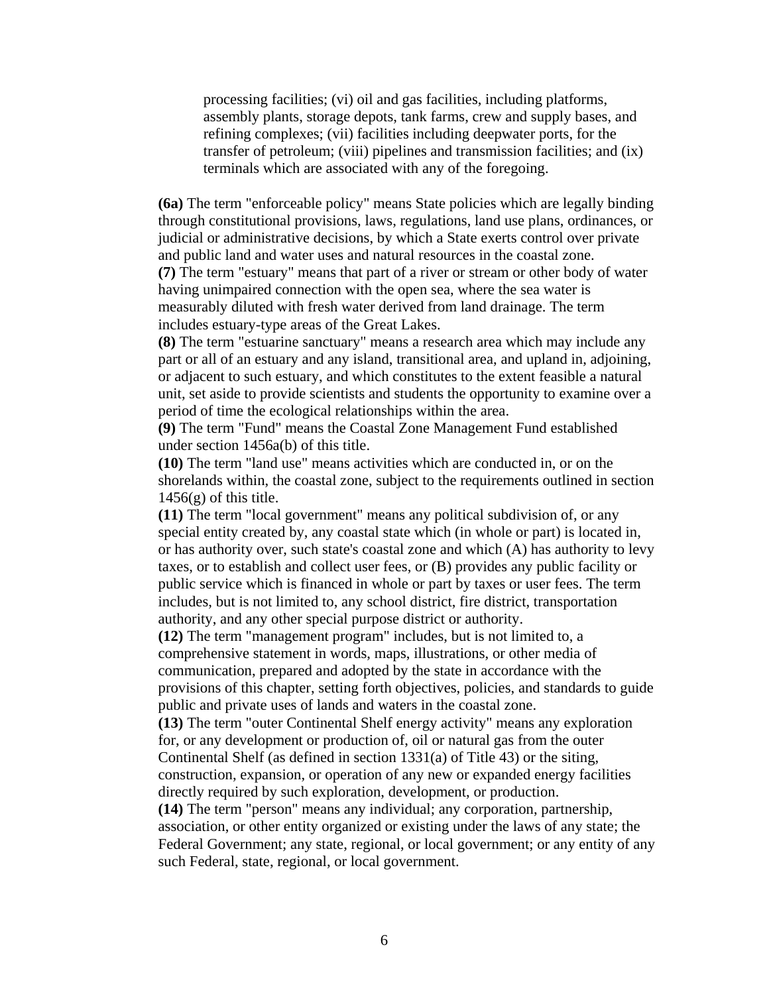processing facilities; (vi) oil and gas facilities, including platforms, assembly plants, storage depots, tank farms, crew and supply bases, and refining complexes; (vii) facilities including deepwater ports, for the transfer of petroleum; (viii) pipelines and transmission facilities; and (ix) terminals which are associated with any of the foregoing.

**(6a)** The term "enforceable policy" means State policies which are legally binding through constitutional provisions, laws, regulations, land use plans, ordinances, or judicial or administrative decisions, by which a State exerts control over private and public land and water uses and natural resources in the coastal zone. **(7)** The term "estuary" means that part of a river or stream or other body of water having unimpaired connection with the open sea, where the sea water is measurably diluted with fresh water derived from land drainage. The term includes estuary-type areas of the Great Lakes.

**(8)** The term "estuarine sanctuary" means a research area which may include any part or all of an estuary and any island, transitional area, and upland in, adjoining, or adjacent to such estuary, and which constitutes to the extent feasible a natural unit, set aside to provide scientists and students the opportunity to examine over a period of time the ecological relationships within the area.

**(9)** The term "Fund" means the Coastal Zone Management Fund established under section 1456a(b) of this title.

**(10)** The term "land use" means activities which are conducted in, or on the shorelands within, the coastal zone, subject to the requirements outlined in section  $1456(g)$  of this title.

**(11)** The term "local government" means any political subdivision of, or any special entity created by, any coastal state which (in whole or part) is located in, or has authority over, such state's coastal zone and which (A) has authority to levy taxes, or to establish and collect user fees, or (B) provides any public facility or public service which is financed in whole or part by taxes or user fees. The term includes, but is not limited to, any school district, fire district, transportation authority, and any other special purpose district or authority.

**(12)** The term "management program" includes, but is not limited to, a comprehensive statement in words, maps, illustrations, or other media of communication, prepared and adopted by the state in accordance with the provisions of this chapter, setting forth objectives, policies, and standards to guide public and private uses of lands and waters in the coastal zone.

**(13)** The term "outer Continental Shelf energy activity" means any exploration for, or any development or production of, oil or natural gas from the outer Continental Shelf (as defined in section 1331(a) of Title 43) or the siting, construction, expansion, or operation of any new or expanded energy facilities directly required by such exploration, development, or production.

**(14)** The term "person" means any individual; any corporation, partnership, association, or other entity organized or existing under the laws of any state; the Federal Government; any state, regional, or local government; or any entity of any such Federal, state, regional, or local government.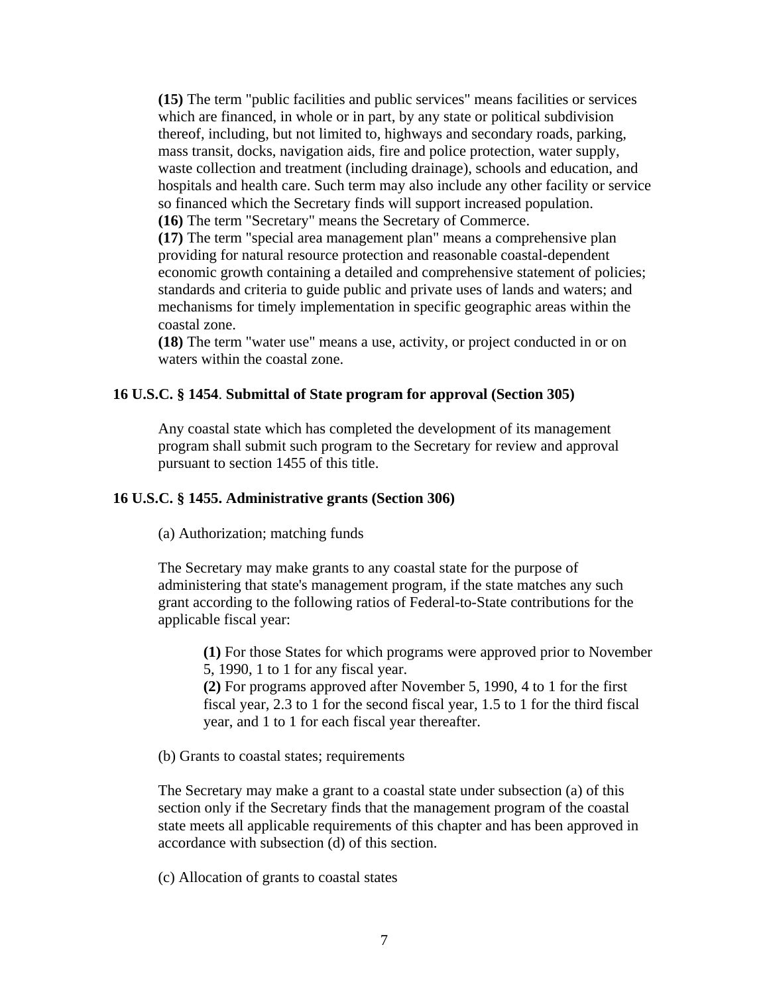**(15)** The term "public facilities and public services" means facilities or services which are financed, in whole or in part, by any state or political subdivision thereof, including, but not limited to, highways and secondary roads, parking, mass transit, docks, navigation aids, fire and police protection, water supply, waste collection and treatment (including drainage), schools and education, and hospitals and health care. Such term may also include any other facility or service so financed which the Secretary finds will support increased population. **(16)** The term "Secretary" means the Secretary of Commerce. **(17)** The term "special area management plan" means a comprehensive plan providing for natural resource protection and reasonable coastal-dependent

economic growth containing a detailed and comprehensive statement of policies; standards and criteria to guide public and private uses of lands and waters; and mechanisms for timely implementation in specific geographic areas within the coastal zone.

**(18)** The term "water use" means a use, activity, or project conducted in or on waters within the coastal zone.

# **16 U.S.C. § 1454**. **Submittal of State program for approval (Section 305)**

Any coastal state which has completed the development of its management program shall submit such program to the Secretary for review and approval pursuant to section 1455 of this title.

# **16 U.S.C. § 1455. Administrative grants (Section 306)**

(a) Authorization; matching funds

The Secretary may make grants to any coastal state for the purpose of administering that state's management program, if the state matches any such grant according to the following ratios of Federal-to-State contributions for the applicable fiscal year:

**(1)** For those States for which programs were approved prior to November 5, 1990, 1 to 1 for any fiscal year. **(2)** For programs approved after November 5, 1990, 4 to 1 for the first

fiscal year, 2.3 to 1 for the second fiscal year, 1.5 to 1 for the third fiscal year, and 1 to 1 for each fiscal year thereafter.

(b) Grants to coastal states; requirements

The Secretary may make a grant to a coastal state under subsection (a) of this section only if the Secretary finds that the management program of the coastal state meets all applicable requirements of this chapter and has been approved in accordance with subsection (d) of this section.

(c) Allocation of grants to coastal states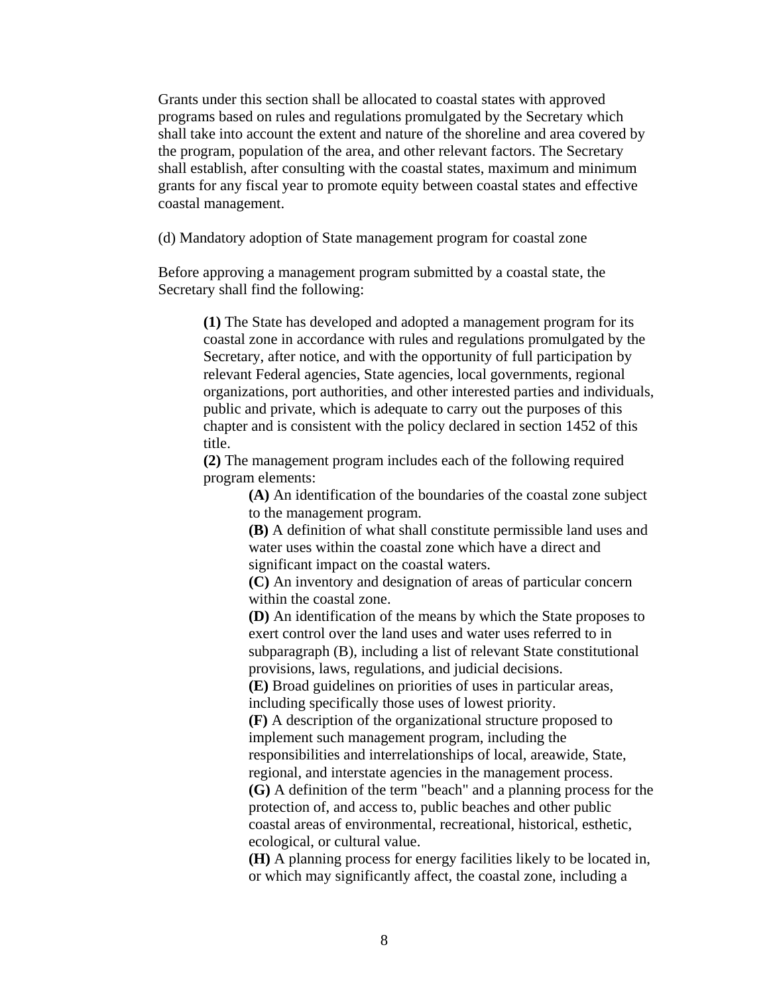Grants under this section shall be allocated to coastal states with approved programs based on rules and regulations promulgated by the Secretary which shall take into account the extent and nature of the shoreline and area covered by the program, population of the area, and other relevant factors. The Secretary shall establish, after consulting with the coastal states, maximum and minimum grants for any fiscal year to promote equity between coastal states and effective coastal management.

(d) Mandatory adoption of State management program for coastal zone

Before approving a management program submitted by a coastal state, the Secretary shall find the following:

**(1)** The State has developed and adopted a management program for its coastal zone in accordance with rules and regulations promulgated by the Secretary, after notice, and with the opportunity of full participation by relevant Federal agencies, State agencies, local governments, regional organizations, port authorities, and other interested parties and individuals, public and private, which is adequate to carry out the purposes of this chapter and is consistent with the policy declared in section 1452 of this title.

**(2)** The management program includes each of the following required program elements:

**(A)** An identification of the boundaries of the coastal zone subject to the management program.

**(B)** A definition of what shall constitute permissible land uses and water uses within the coastal zone which have a direct and significant impact on the coastal waters.

**(C)** An inventory and designation of areas of particular concern within the coastal zone.

**(D)** An identification of the means by which the State proposes to exert control over the land uses and water uses referred to in subparagraph (B), including a list of relevant State constitutional provisions, laws, regulations, and judicial decisions.

**(E)** Broad guidelines on priorities of uses in particular areas, including specifically those uses of lowest priority.

**(F)** A description of the organizational structure proposed to implement such management program, including the responsibilities and interrelationships of local, areawide, State,

regional, and interstate agencies in the management process. **(G)** A definition of the term "beach" and a planning process for the protection of, and access to, public beaches and other public

coastal areas of environmental, recreational, historical, esthetic, ecological, or cultural value.

**(H)** A planning process for energy facilities likely to be located in, or which may significantly affect, the coastal zone, including a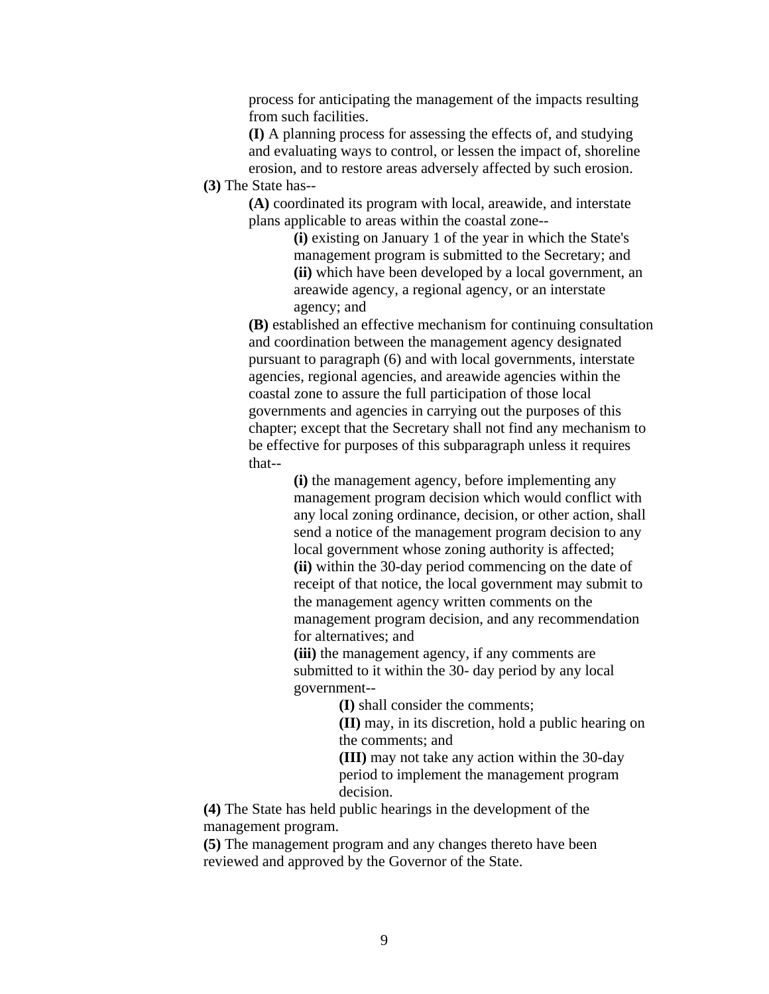process for anticipating the management of the impacts resulting from such facilities.

**(I)** A planning process for assessing the effects of, and studying and evaluating ways to control, or lessen the impact of, shoreline erosion, and to restore areas adversely affected by such erosion.

**(3)** The State has--

**(A)** coordinated its program with local, areawide, and interstate plans applicable to areas within the coastal zone--

> **(i)** existing on January 1 of the year in which the State's management program is submitted to the Secretary; and **(ii)** which have been developed by a local government, an areawide agency, a regional agency, or an interstate agency; and

**(B)** established an effective mechanism for continuing consultation and coordination between the management agency designated pursuant to paragraph (6) and with local governments, interstate agencies, regional agencies, and areawide agencies within the coastal zone to assure the full participation of those local governments and agencies in carrying out the purposes of this chapter; except that the Secretary shall not find any mechanism to be effective for purposes of this subparagraph unless it requires that--

> **(i)** the management agency, before implementing any management program decision which would conflict with any local zoning ordinance, decision, or other action, shall send a notice of the management program decision to any local government whose zoning authority is affected; **(ii)** within the 30-day period commencing on the date of receipt of that notice, the local government may submit to the management agency written comments on the management program decision, and any recommendation for alternatives; and

**(iii)** the management agency, if any comments are submitted to it within the 30- day period by any local government--

**(I)** shall consider the comments;

**(II)** may, in its discretion, hold a public hearing on the comments; and

**(III)** may not take any action within the 30-day period to implement the management program decision.

**(4)** The State has held public hearings in the development of the management program.

**(5)** The management program and any changes thereto have been reviewed and approved by the Governor of the State.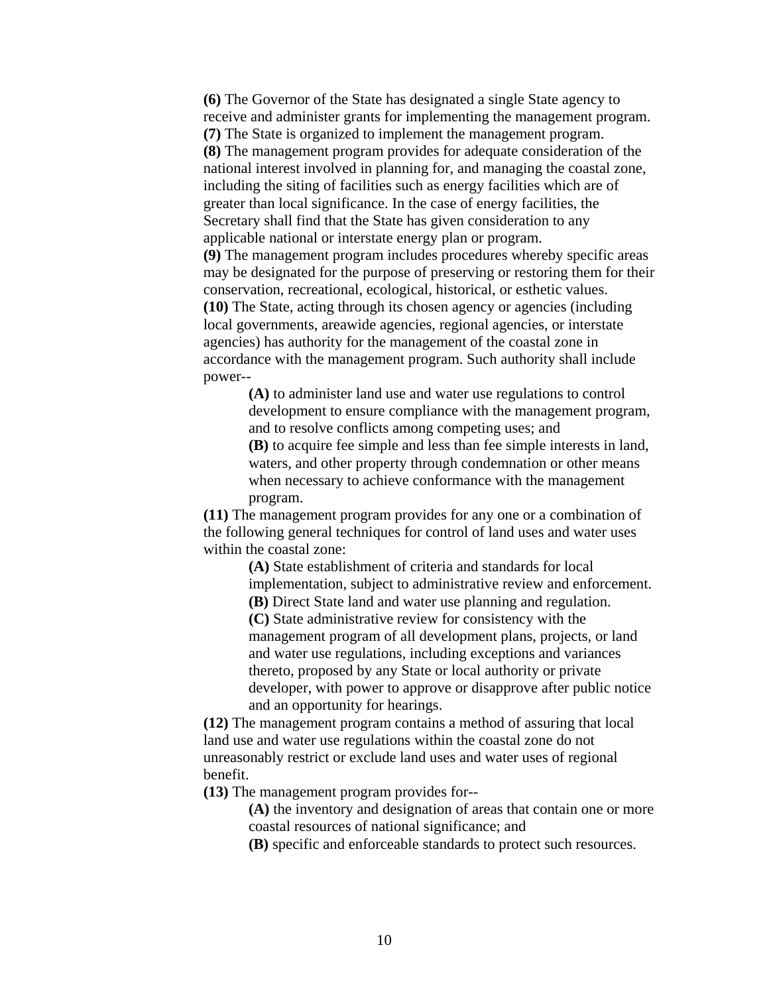**(6)** The Governor of the State has designated a single State agency to receive and administer grants for implementing the management program. **(7)** The State is organized to implement the management program. **(8)** The management program provides for adequate consideration of the national interest involved in planning for, and managing the coastal zone, including the siting of facilities such as energy facilities which are of greater than local significance. In the case of energy facilities, the Secretary shall find that the State has given consideration to any applicable national or interstate energy plan or program.

**(9)** The management program includes procedures whereby specific areas may be designated for the purpose of preserving or restoring them for their conservation, recreational, ecological, historical, or esthetic values. **(10)** The State, acting through its chosen agency or agencies (including local governments, areawide agencies, regional agencies, or interstate agencies) has authority for the management of the coastal zone in accordance with the management program. Such authority shall include power--

**(A)** to administer land use and water use regulations to control development to ensure compliance with the management program, and to resolve conflicts among competing uses; and

**(B)** to acquire fee simple and less than fee simple interests in land, waters, and other property through condemnation or other means when necessary to achieve conformance with the management program.

**(11)** The management program provides for any one or a combination of the following general techniques for control of land uses and water uses within the coastal zone:

> **(A)** State establishment of criteria and standards for local implementation, subject to administrative review and enforcement.

**(B)** Direct State land and water use planning and regulation.

**(C)** State administrative review for consistency with the management program of all development plans, projects, or land and water use regulations, including exceptions and variances thereto, proposed by any State or local authority or private developer, with power to approve or disapprove after public notice and an opportunity for hearings.

**(12)** The management program contains a method of assuring that local land use and water use regulations within the coastal zone do not unreasonably restrict or exclude land uses and water uses of regional benefit.

**(13)** The management program provides for--

**(A)** the inventory and designation of areas that contain one or more coastal resources of national significance; and

**(B)** specific and enforceable standards to protect such resources.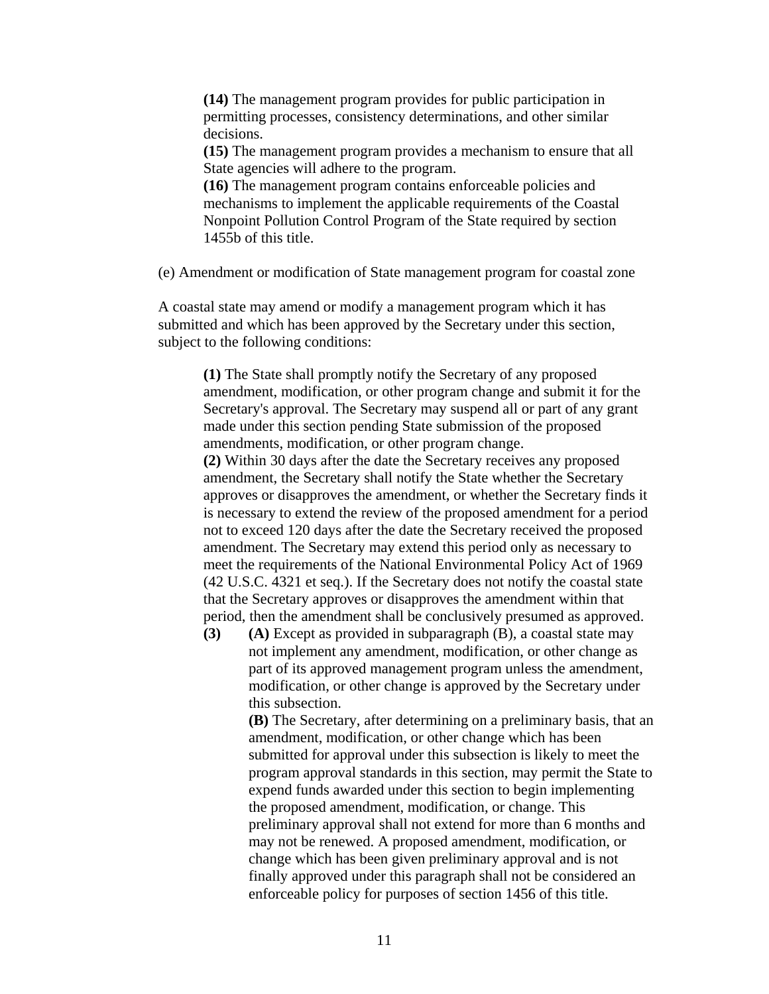**(14)** The management program provides for public participation in permitting processes, consistency determinations, and other similar decisions.

**(15)** The management program provides a mechanism to ensure that all State agencies will adhere to the program.

**(16)** The management program contains enforceable policies and mechanisms to implement the applicable requirements of the Coastal Nonpoint Pollution Control Program of the State required by section 1455b of this title.

(e) Amendment or modification of State management program for coastal zone

A coastal state may amend or modify a management program which it has submitted and which has been approved by the Secretary under this section, subject to the following conditions:

**(1)** The State shall promptly notify the Secretary of any proposed amendment, modification, or other program change and submit it for the Secretary's approval. The Secretary may suspend all or part of any grant made under this section pending State submission of the proposed amendments, modification, or other program change.

**(2)** Within 30 days after the date the Secretary receives any proposed amendment, the Secretary shall notify the State whether the Secretary approves or disapproves the amendment, or whether the Secretary finds it is necessary to extend the review of the proposed amendment for a period not to exceed 120 days after the date the Secretary received the proposed amendment. The Secretary may extend this period only as necessary to meet the requirements of the National Environmental Policy Act of 1969 (42 U.S.C. 4321 et seq.). If the Secretary does not notify the coastal state that the Secretary approves or disapproves the amendment within that period, then the amendment shall be conclusively presumed as approved.

**(3) (A)** Except as provided in subparagraph (B), a coastal state may not implement any amendment, modification, or other change as part of its approved management program unless the amendment, modification, or other change is approved by the Secretary under this subsection.

> **(B)** The Secretary, after determining on a preliminary basis, that an amendment, modification, or other change which has been submitted for approval under this subsection is likely to meet the program approval standards in this section, may permit the State to expend funds awarded under this section to begin implementing the proposed amendment, modification, or change. This preliminary approval shall not extend for more than 6 months and may not be renewed. A proposed amendment, modification, or change which has been given preliminary approval and is not finally approved under this paragraph shall not be considered an enforceable policy for purposes of section 1456 of this title.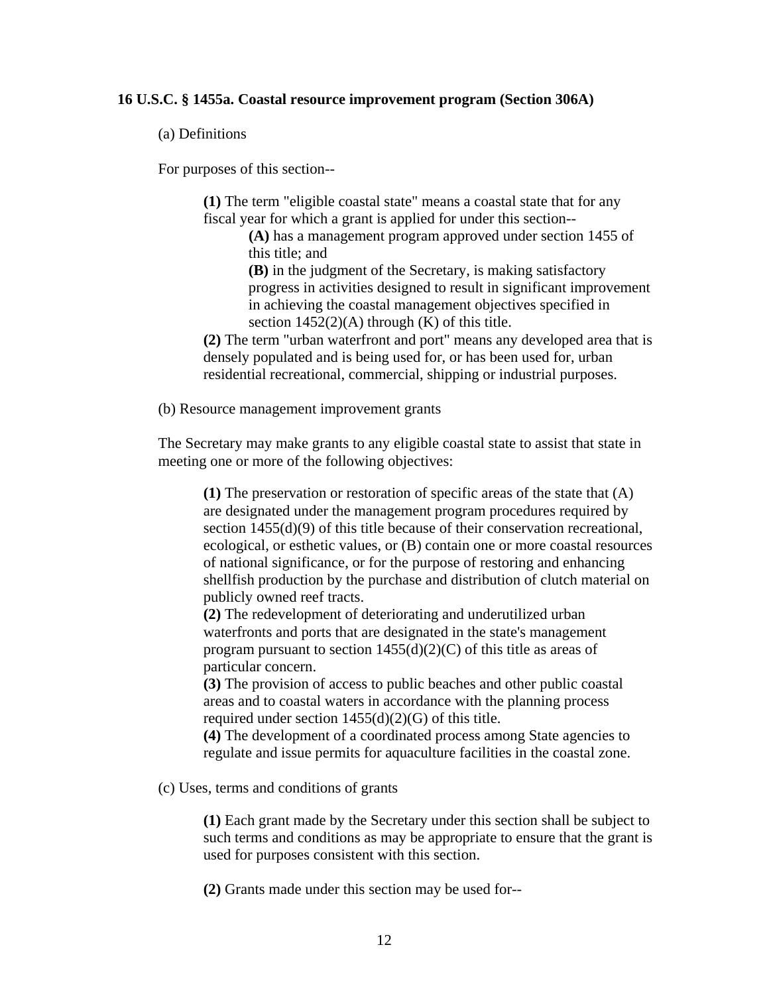# **16 U.S.C. § 1455a. Coastal resource improvement program (Section 306A)**

# (a) Definitions

For purposes of this section--

**(1)** The term "eligible coastal state" means a coastal state that for any fiscal year for which a grant is applied for under this section--

> **(A)** has a management program approved under section 1455 of this title; and

**(B)** in the judgment of the Secretary, is making satisfactory progress in activities designed to result in significant improvement in achieving the coastal management objectives specified in section  $1452(2)(A)$  through  $(K)$  of this title.

**(2)** The term "urban waterfront and port" means any developed area that is densely populated and is being used for, or has been used for, urban residential recreational, commercial, shipping or industrial purposes.

(b) Resource management improvement grants

The Secretary may make grants to any eligible coastal state to assist that state in meeting one or more of the following objectives:

**(1)** The preservation or restoration of specific areas of the state that (A) are designated under the management program procedures required by section 1455(d)(9) of this title because of their conservation recreational, ecological, or esthetic values, or (B) contain one or more coastal resources of national significance, or for the purpose of restoring and enhancing shellfish production by the purchase and distribution of clutch material on publicly owned reef tracts.

**(2)** The redevelopment of deteriorating and underutilized urban waterfronts and ports that are designated in the state's management program pursuant to section  $1455(d)(2)(C)$  of this title as areas of particular concern.

**(3)** The provision of access to public beaches and other public coastal areas and to coastal waters in accordance with the planning process required under section  $1455(d)(2)(G)$  of this title.

**(4)** The development of a coordinated process among State agencies to regulate and issue permits for aquaculture facilities in the coastal zone.

(c) Uses, terms and conditions of grants

**(1)** Each grant made by the Secretary under this section shall be subject to such terms and conditions as may be appropriate to ensure that the grant is used for purposes consistent with this section.

**(2)** Grants made under this section may be used for--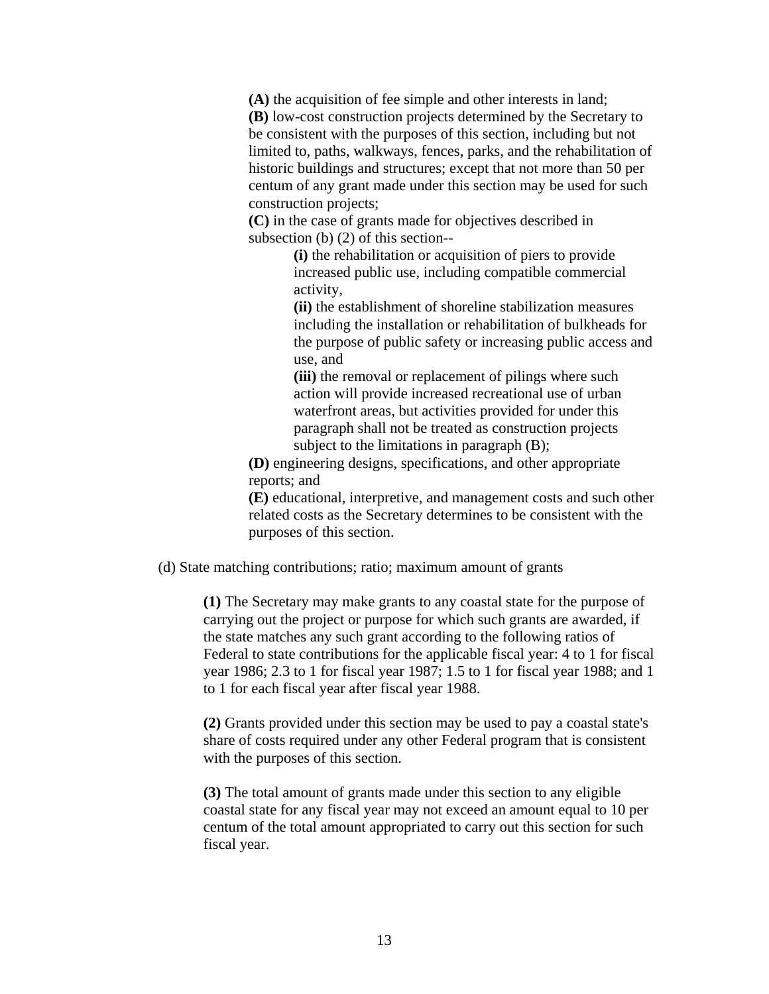**(A)** the acquisition of fee simple and other interests in land; **(B)** low-cost construction projects determined by the Secretary to be consistent with the purposes of this section, including but not limited to, paths, walkways, fences, parks, and the rehabilitation of historic buildings and structures; except that not more than 50 per centum of any grant made under this section may be used for such construction projects;

**(C)** in the case of grants made for objectives described in subsection (b) (2) of this section--

> **(i)** the rehabilitation or acquisition of piers to provide increased public use, including compatible commercial activity,

**(ii)** the establishment of shoreline stabilization measures including the installation or rehabilitation of bulkheads for the purpose of public safety or increasing public access and use, and

**(iii)** the removal or replacement of pilings where such action will provide increased recreational use of urban waterfront areas, but activities provided for under this paragraph shall not be treated as construction projects subject to the limitations in paragraph (B);

**(D)** engineering designs, specifications, and other appropriate reports; and

**(E)** educational, interpretive, and management costs and such other related costs as the Secretary determines to be consistent with the purposes of this section.

(d) State matching contributions; ratio; maximum amount of grants

**(1)** The Secretary may make grants to any coastal state for the purpose of carrying out the project or purpose for which such grants are awarded, if the state matches any such grant according to the following ratios of Federal to state contributions for the applicable fiscal year: 4 to 1 for fiscal year 1986; 2.3 to 1 for fiscal year 1987; 1.5 to 1 for fiscal year 1988; and 1 to 1 for each fiscal year after fiscal year 1988.

**(2)** Grants provided under this section may be used to pay a coastal state's share of costs required under any other Federal program that is consistent with the purposes of this section.

**(3)** The total amount of grants made under this section to any eligible coastal state for any fiscal year may not exceed an amount equal to 10 per centum of the total amount appropriated to carry out this section for such fiscal year.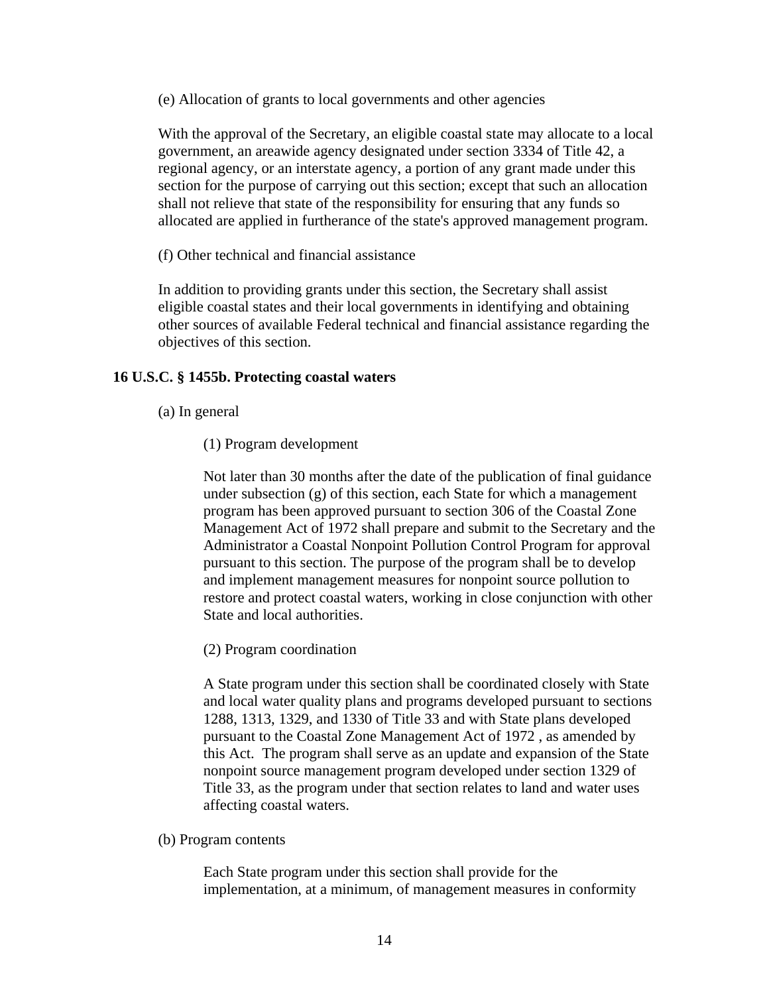(e) Allocation of grants to local governments and other agencies

With the approval of the Secretary, an eligible coastal state may allocate to a local government, an areawide agency designated under section 3334 of Title 42, a regional agency, or an interstate agency, a portion of any grant made under this section for the purpose of carrying out this section; except that such an allocation shall not relieve that state of the responsibility for ensuring that any funds so allocated are applied in furtherance of the state's approved management program.

(f) Other technical and financial assistance

In addition to providing grants under this section, the Secretary shall assist eligible coastal states and their local governments in identifying and obtaining other sources of available Federal technical and financial assistance regarding the objectives of this section.

# **16 U.S.C. § 1455b. Protecting coastal waters**

- (a) In general
	- (1) Program development

Not later than 30 months after the date of the publication of final guidance under subsection (g) of this section, each State for which a management program has been approved pursuant to section 306 of the Coastal Zone Management Act of 1972 shall prepare and submit to the Secretary and the Administrator a Coastal Nonpoint Pollution Control Program for approval pursuant to this section. The purpose of the program shall be to develop and implement management measures for nonpoint source pollution to restore and protect coastal waters, working in close conjunction with other State and local authorities.

(2) Program coordination

A State program under this section shall be coordinated closely with State and local water quality plans and programs developed pursuant to sections 1288, 1313, 1329, and 1330 of Title 33 and with State plans developed pursuant to the Coastal Zone Management Act of 1972 , as amended by this Act. The program shall serve as an update and expansion of the State nonpoint source management program developed under section 1329 of Title 33, as the program under that section relates to land and water uses affecting coastal waters.

# (b) Program contents

Each State program under this section shall provide for the implementation, at a minimum, of management measures in conformity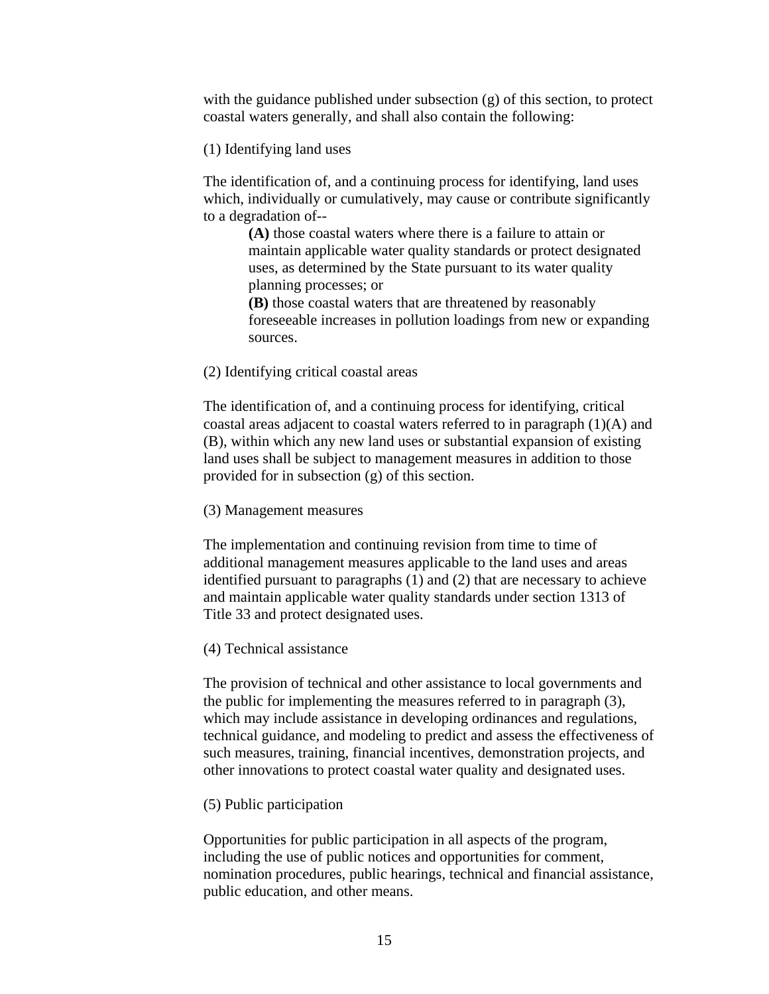with the guidance published under subsection (g) of this section, to protect coastal waters generally, and shall also contain the following:

(1) Identifying land uses

The identification of, and a continuing process for identifying, land uses which, individually or cumulatively, may cause or contribute significantly to a degradation of--

**(A)** those coastal waters where there is a failure to attain or maintain applicable water quality standards or protect designated uses, as determined by the State pursuant to its water quality planning processes; or

**(B)** those coastal waters that are threatened by reasonably foreseeable increases in pollution loadings from new or expanding sources.

(2) Identifying critical coastal areas

The identification of, and a continuing process for identifying, critical coastal areas adjacent to coastal waters referred to in paragraph (1)(A) and (B), within which any new land uses or substantial expansion of existing land uses shall be subject to management measures in addition to those provided for in subsection (g) of this section.

# (3) Management measures

The implementation and continuing revision from time to time of additional management measures applicable to the land uses and areas identified pursuant to paragraphs (1) and (2) that are necessary to achieve and maintain applicable water quality standards under section 1313 of Title 33 and protect designated uses.

#### (4) Technical assistance

The provision of technical and other assistance to local governments and the public for implementing the measures referred to in paragraph (3), which may include assistance in developing ordinances and regulations, technical guidance, and modeling to predict and assess the effectiveness of such measures, training, financial incentives, demonstration projects, and other innovations to protect coastal water quality and designated uses.

#### (5) Public participation

Opportunities for public participation in all aspects of the program, including the use of public notices and opportunities for comment, nomination procedures, public hearings, technical and financial assistance, public education, and other means.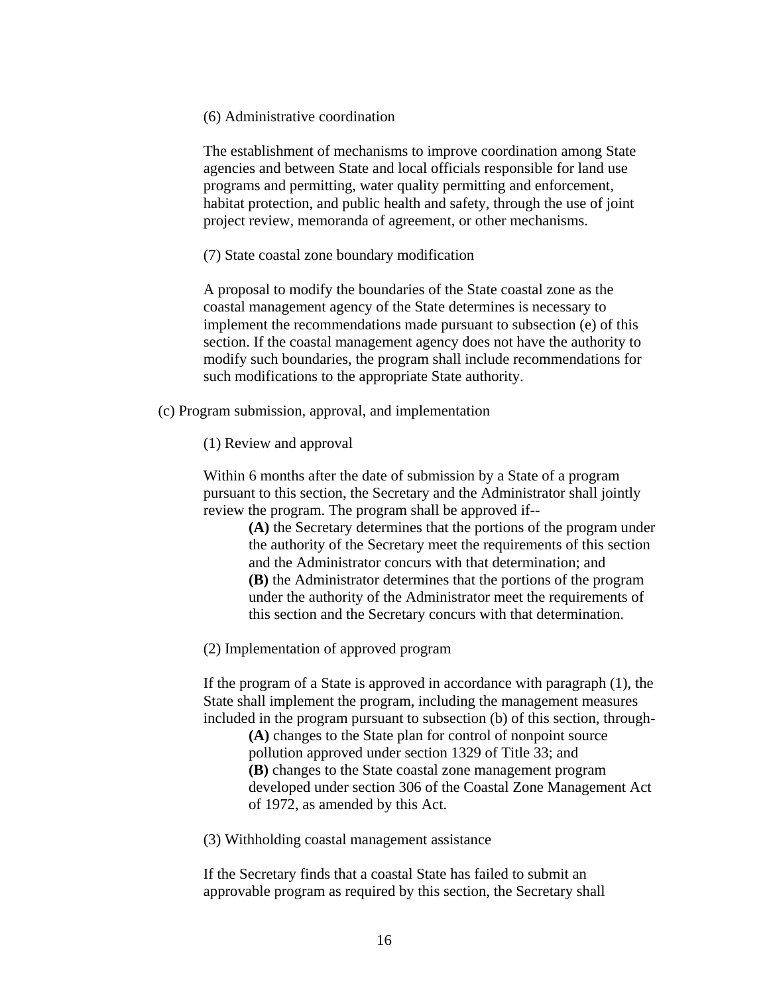(6) Administrative coordination

The establishment of mechanisms to improve coordination among State agencies and between State and local officials responsible for land use programs and permitting, water quality permitting and enforcement, habitat protection, and public health and safety, through the use of joint project review, memoranda of agreement, or other mechanisms.

(7) State coastal zone boundary modification

A proposal to modify the boundaries of the State coastal zone as the coastal management agency of the State determines is necessary to implement the recommendations made pursuant to subsection (e) of this section. If the coastal management agency does not have the authority to modify such boundaries, the program shall include recommendations for such modifications to the appropriate State authority.

- (c) Program submission, approval, and implementation
	- (1) Review and approval

Within 6 months after the date of submission by a State of a program pursuant to this section, the Secretary and the Administrator shall jointly review the program. The program shall be approved if--

> **(A)** the Secretary determines that the portions of the program under the authority of the Secretary meet the requirements of this section and the Administrator concurs with that determination; and **(B)** the Administrator determines that the portions of the program under the authority of the Administrator meet the requirements of this section and the Secretary concurs with that determination.

(2) Implementation of approved program

If the program of a State is approved in accordance with paragraph (1), the State shall implement the program, including the management measures included in the program pursuant to subsection (b) of this section, through-

> **(A)** changes to the State plan for control of nonpoint source pollution approved under section 1329 of Title 33; and **(B)** changes to the State coastal zone management program developed under section 306 of the Coastal Zone Management Act of 1972, as amended by this Act.

(3) Withholding coastal management assistance

If the Secretary finds that a coastal State has failed to submit an approvable program as required by this section, the Secretary shall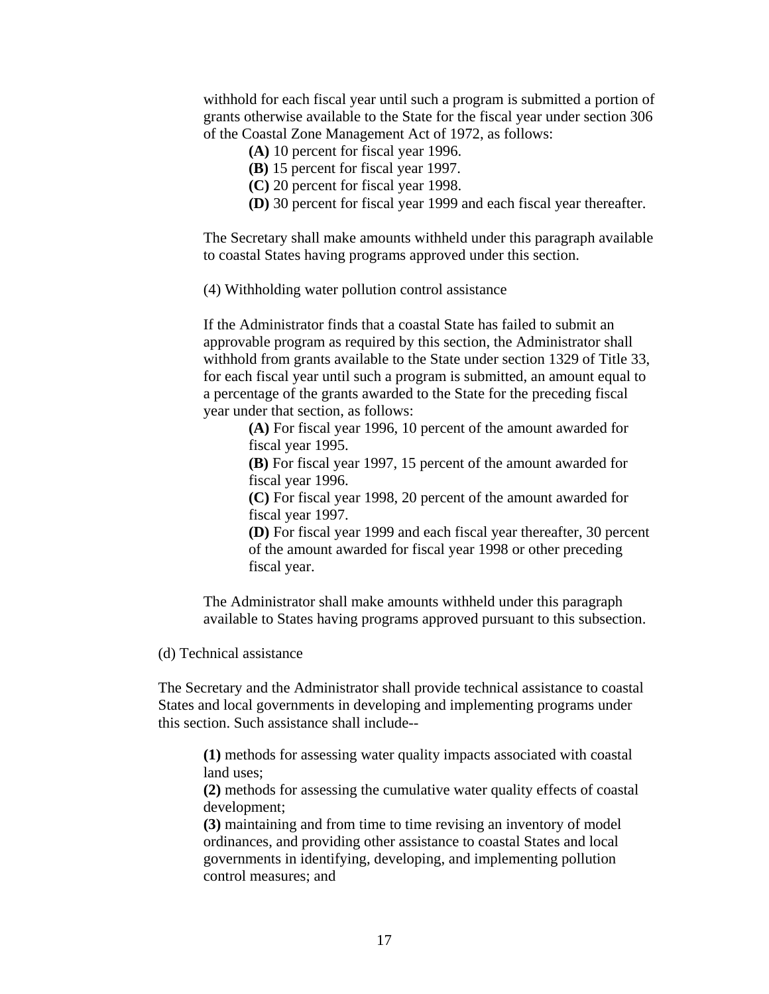withhold for each fiscal year until such a program is submitted a portion of grants otherwise available to the State for the fiscal year under section 306 of the Coastal Zone Management Act of 1972, as follows:

- **(A)** 10 percent for fiscal year 1996.
- **(B)** 15 percent for fiscal year 1997.
- **(C)** 20 percent for fiscal year 1998.
- **(D)** 30 percent for fiscal year 1999 and each fiscal year thereafter.

The Secretary shall make amounts withheld under this paragraph available to coastal States having programs approved under this section.

(4) Withholding water pollution control assistance

If the Administrator finds that a coastal State has failed to submit an approvable program as required by this section, the Administrator shall withhold from grants available to the State under section 1329 of Title 33, for each fiscal year until such a program is submitted, an amount equal to a percentage of the grants awarded to the State for the preceding fiscal year under that section, as follows:

> **(A)** For fiscal year 1996, 10 percent of the amount awarded for fiscal year 1995.

> **(B)** For fiscal year 1997, 15 percent of the amount awarded for fiscal year 1996.

> **(C)** For fiscal year 1998, 20 percent of the amount awarded for fiscal year 1997.

**(D)** For fiscal year 1999 and each fiscal year thereafter, 30 percent of the amount awarded for fiscal year 1998 or other preceding fiscal year.

The Administrator shall make amounts withheld under this paragraph available to States having programs approved pursuant to this subsection.

(d) Technical assistance

The Secretary and the Administrator shall provide technical assistance to coastal States and local governments in developing and implementing programs under this section. Such assistance shall include--

**(1)** methods for assessing water quality impacts associated with coastal land uses;

**(2)** methods for assessing the cumulative water quality effects of coastal development;

**(3)** maintaining and from time to time revising an inventory of model ordinances, and providing other assistance to coastal States and local governments in identifying, developing, and implementing pollution control measures; and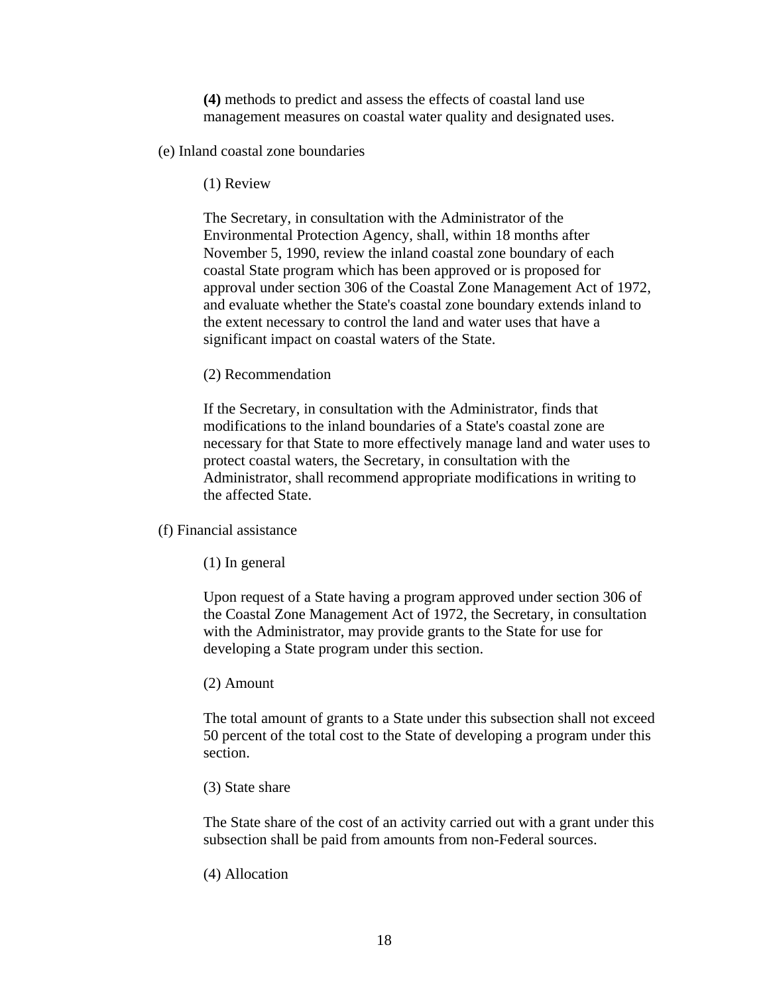**(4)** methods to predict and assess the effects of coastal land use management measures on coastal water quality and designated uses.

- (e) Inland coastal zone boundaries
	- (1) Review

The Secretary, in consultation with the Administrator of the Environmental Protection Agency, shall, within 18 months after November 5, 1990, review the inland coastal zone boundary of each coastal State program which has been approved or is proposed for approval under section 306 of the Coastal Zone Management Act of 1972, and evaluate whether the State's coastal zone boundary extends inland to the extent necessary to control the land and water uses that have a significant impact on coastal waters of the State.

(2) Recommendation

If the Secretary, in consultation with the Administrator, finds that modifications to the inland boundaries of a State's coastal zone are necessary for that State to more effectively manage land and water uses to protect coastal waters, the Secretary, in consultation with the Administrator, shall recommend appropriate modifications in writing to the affected State.

- (f) Financial assistance
	- (1) In general

Upon request of a State having a program approved under section 306 of the Coastal Zone Management Act of 1972, the Secretary, in consultation with the Administrator, may provide grants to the State for use for developing a State program under this section.

(2) Amount

The total amount of grants to a State under this subsection shall not exceed 50 percent of the total cost to the State of developing a program under this section.

### (3) State share

The State share of the cost of an activity carried out with a grant under this subsection shall be paid from amounts from non-Federal sources.

(4) Allocation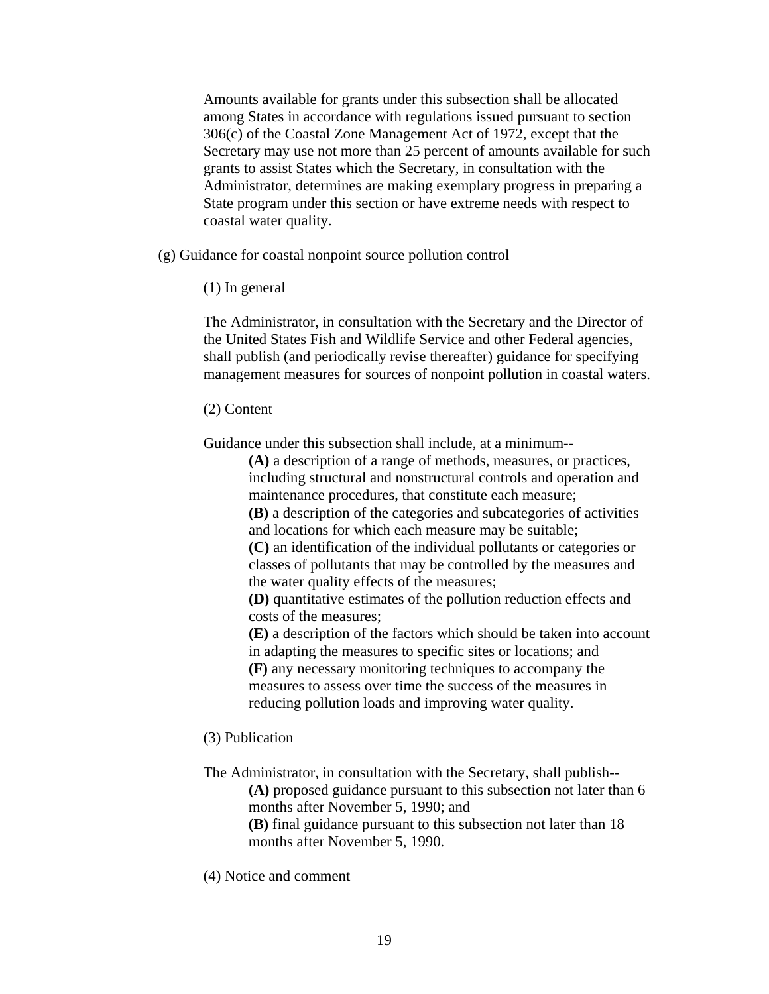Amounts available for grants under this subsection shall be allocated among States in accordance with regulations issued pursuant to section 306(c) of the Coastal Zone Management Act of 1972, except that the Secretary may use not more than 25 percent of amounts available for such grants to assist States which the Secretary, in consultation with the Administrator, determines are making exemplary progress in preparing a State program under this section or have extreme needs with respect to coastal water quality.

(g) Guidance for coastal nonpoint source pollution control

(1) In general

The Administrator, in consultation with the Secretary and the Director of the United States Fish and Wildlife Service and other Federal agencies, shall publish (and periodically revise thereafter) guidance for specifying management measures for sources of nonpoint pollution in coastal waters.

(2) Content

Guidance under this subsection shall include, at a minimum--

**(A)** a description of a range of methods, measures, or practices, including structural and nonstructural controls and operation and maintenance procedures, that constitute each measure;

**(B)** a description of the categories and subcategories of activities and locations for which each measure may be suitable;

**(C)** an identification of the individual pollutants or categories or classes of pollutants that may be controlled by the measures and the water quality effects of the measures;

**(D)** quantitative estimates of the pollution reduction effects and costs of the measures;

**(E)** a description of the factors which should be taken into account in adapting the measures to specific sites or locations; and **(F)** any necessary monitoring techniques to accompany the measures to assess over time the success of the measures in reducing pollution loads and improving water quality.

# (3) Publication

The Administrator, in consultation with the Secretary, shall publish-- **(A)** proposed guidance pursuant to this subsection not later than 6 months after November 5, 1990; and **(B)** final guidance pursuant to this subsection not later than 18 months after November 5, 1990.

(4) Notice and comment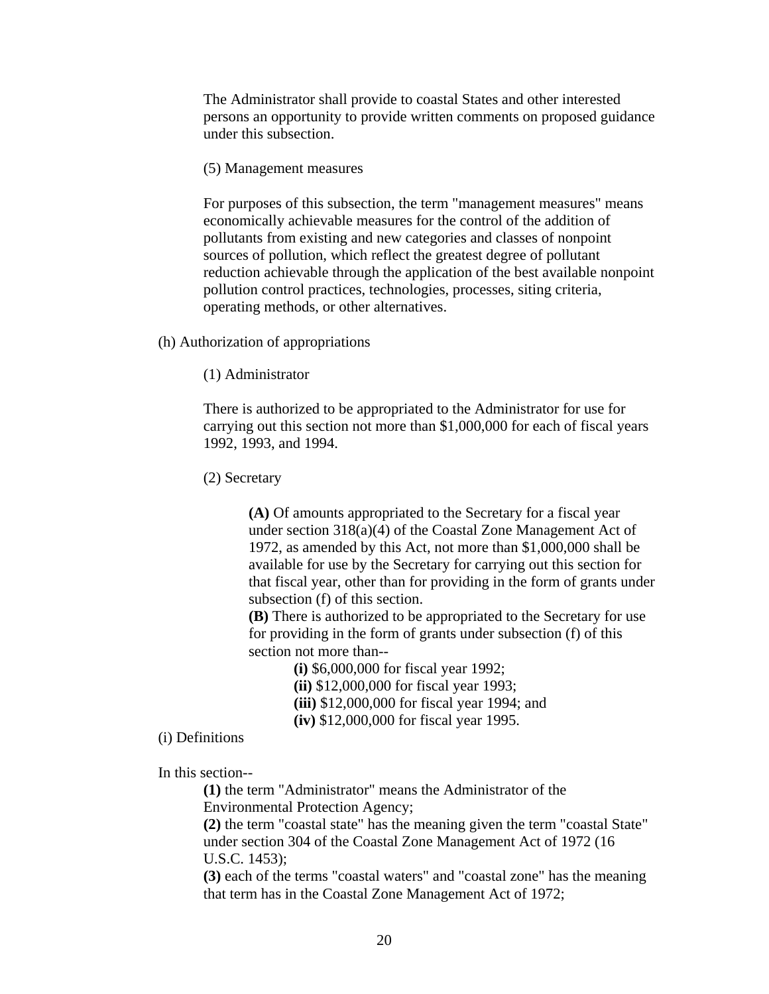The Administrator shall provide to coastal States and other interested persons an opportunity to provide written comments on proposed guidance under this subsection.

(5) Management measures

For purposes of this subsection, the term "management measures" means economically achievable measures for the control of the addition of pollutants from existing and new categories and classes of nonpoint sources of pollution, which reflect the greatest degree of pollutant reduction achievable through the application of the best available nonpoint pollution control practices, technologies, processes, siting criteria, operating methods, or other alternatives.

(h) Authorization of appropriations

(1) Administrator

There is authorized to be appropriated to the Administrator for use for carrying out this section not more than \$1,000,000 for each of fiscal years 1992, 1993, and 1994.

(2) Secretary

**(A)** Of amounts appropriated to the Secretary for a fiscal year under section 318(a)(4) of the Coastal Zone Management Act of 1972, as amended by this Act, not more than \$1,000,000 shall be available for use by the Secretary for carrying out this section for that fiscal year, other than for providing in the form of grants under subsection (f) of this section.

**(B)** There is authorized to be appropriated to the Secretary for use for providing in the form of grants under subsection (f) of this section not more than--

> **(i)** \$6,000,000 for fiscal year 1992; **(ii)** \$12,000,000 for fiscal year 1993; **(iii)** \$12,000,000 for fiscal year 1994; and **(iv)** \$12,000,000 for fiscal year 1995.

(i) Definitions

In this section--

**(1)** the term "Administrator" means the Administrator of the Environmental Protection Agency;

**(2)** the term "coastal state" has the meaning given the term "coastal State" under section 304 of the Coastal Zone Management Act of 1972 (16 U.S.C. 1453);

**(3)** each of the terms "coastal waters" and "coastal zone" has the meaning that term has in the Coastal Zone Management Act of 1972;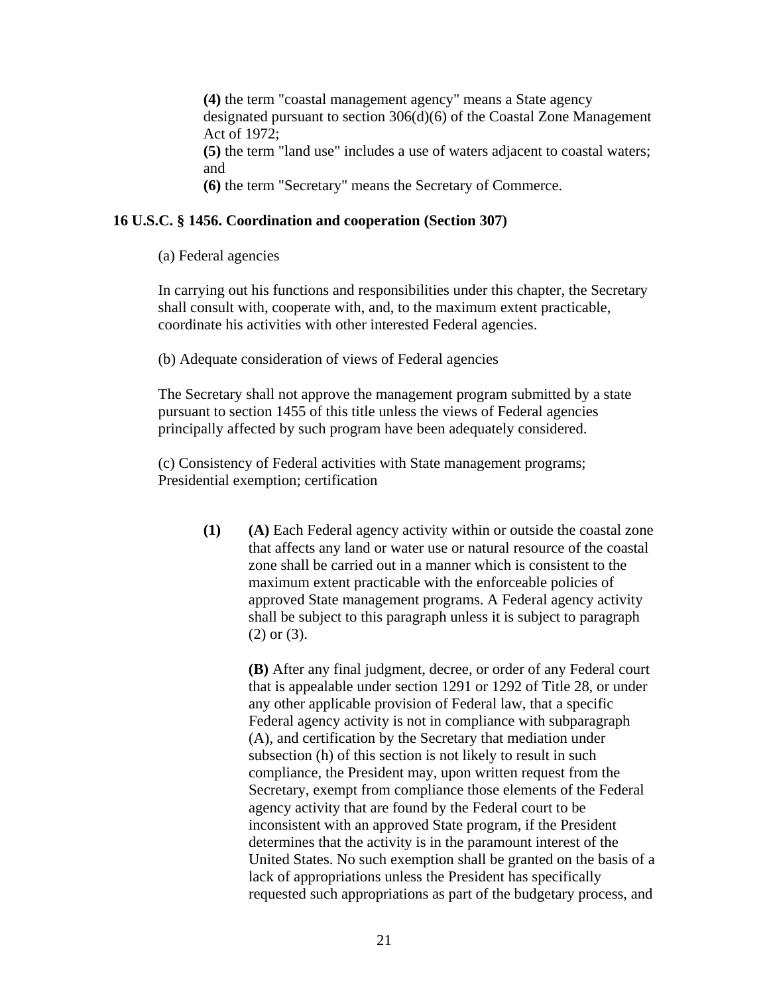**(4)** the term "coastal management agency" means a State agency designated pursuant to section 306(d)(6) of the Coastal Zone Management Act of 1972; **(5)** the term "land use" includes a use of waters adjacent to coastal waters; and

**(6)** the term "Secretary" means the Secretary of Commerce.

# **16 U.S.C. § 1456. Coordination and cooperation (Section 307)**

(a) Federal agencies

In carrying out his functions and responsibilities under this chapter, the Secretary shall consult with, cooperate with, and, to the maximum extent practicable, coordinate his activities with other interested Federal agencies.

(b) Adequate consideration of views of Federal agencies

The Secretary shall not approve the management program submitted by a state pursuant to section 1455 of this title unless the views of Federal agencies principally affected by such program have been adequately considered.

(c) Consistency of Federal activities with State management programs; Presidential exemption; certification

> **(1) (A)** Each Federal agency activity within or outside the coastal zone that affects any land or water use or natural resource of the coastal zone shall be carried out in a manner which is consistent to the maximum extent practicable with the enforceable policies of approved State management programs. A Federal agency activity shall be subject to this paragraph unless it is subject to paragraph (2) or (3).

> > **(B)** After any final judgment, decree, or order of any Federal court that is appealable under section 1291 or 1292 of Title 28, or under any other applicable provision of Federal law, that a specific Federal agency activity is not in compliance with subparagraph (A), and certification by the Secretary that mediation under subsection (h) of this section is not likely to result in such compliance, the President may, upon written request from the Secretary, exempt from compliance those elements of the Federal agency activity that are found by the Federal court to be inconsistent with an approved State program, if the President determines that the activity is in the paramount interest of the United States. No such exemption shall be granted on the basis of a lack of appropriations unless the President has specifically requested such appropriations as part of the budgetary process, and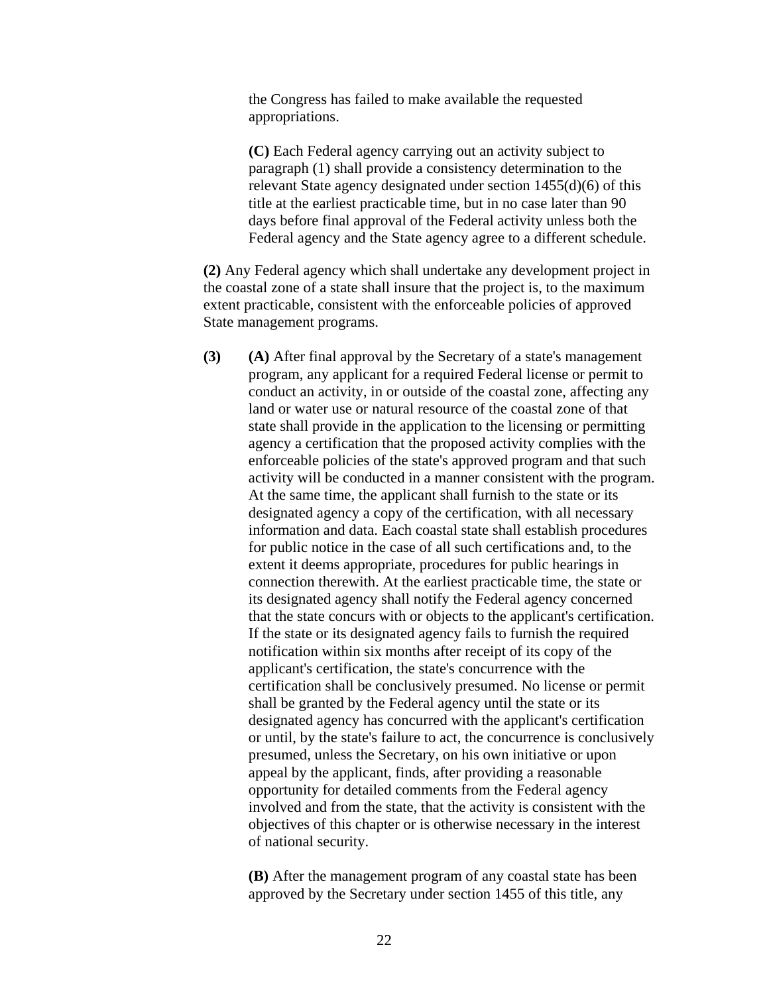the Congress has failed to make available the requested appropriations.

**(C)** Each Federal agency carrying out an activity subject to paragraph (1) shall provide a consistency determination to the relevant State agency designated under section 1455(d)(6) of this title at the earliest practicable time, but in no case later than 90 days before final approval of the Federal activity unless both the Federal agency and the State agency agree to a different schedule.

**(2)** Any Federal agency which shall undertake any development project in the coastal zone of a state shall insure that the project is, to the maximum extent practicable, consistent with the enforceable policies of approved State management programs.

**(3) (A)** After final approval by the Secretary of a state's management program, any applicant for a required Federal license or permit to conduct an activity, in or outside of the coastal zone, affecting any land or water use or natural resource of the coastal zone of that state shall provide in the application to the licensing or permitting agency a certification that the proposed activity complies with the enforceable policies of the state's approved program and that such activity will be conducted in a manner consistent with the program. At the same time, the applicant shall furnish to the state or its designated agency a copy of the certification, with all necessary information and data. Each coastal state shall establish procedures for public notice in the case of all such certifications and, to the extent it deems appropriate, procedures for public hearings in connection therewith. At the earliest practicable time, the state or its designated agency shall notify the Federal agency concerned that the state concurs with or objects to the applicant's certification. If the state or its designated agency fails to furnish the required notification within six months after receipt of its copy of the applicant's certification, the state's concurrence with the certification shall be conclusively presumed. No license or permit shall be granted by the Federal agency until the state or its designated agency has concurred with the applicant's certification or until, by the state's failure to act, the concurrence is conclusively presumed, unless the Secretary, on his own initiative or upon appeal by the applicant, finds, after providing a reasonable opportunity for detailed comments from the Federal agency involved and from the state, that the activity is consistent with the objectives of this chapter or is otherwise necessary in the interest of national security.

**(B)** After the management program of any coastal state has been approved by the Secretary under section 1455 of this title, any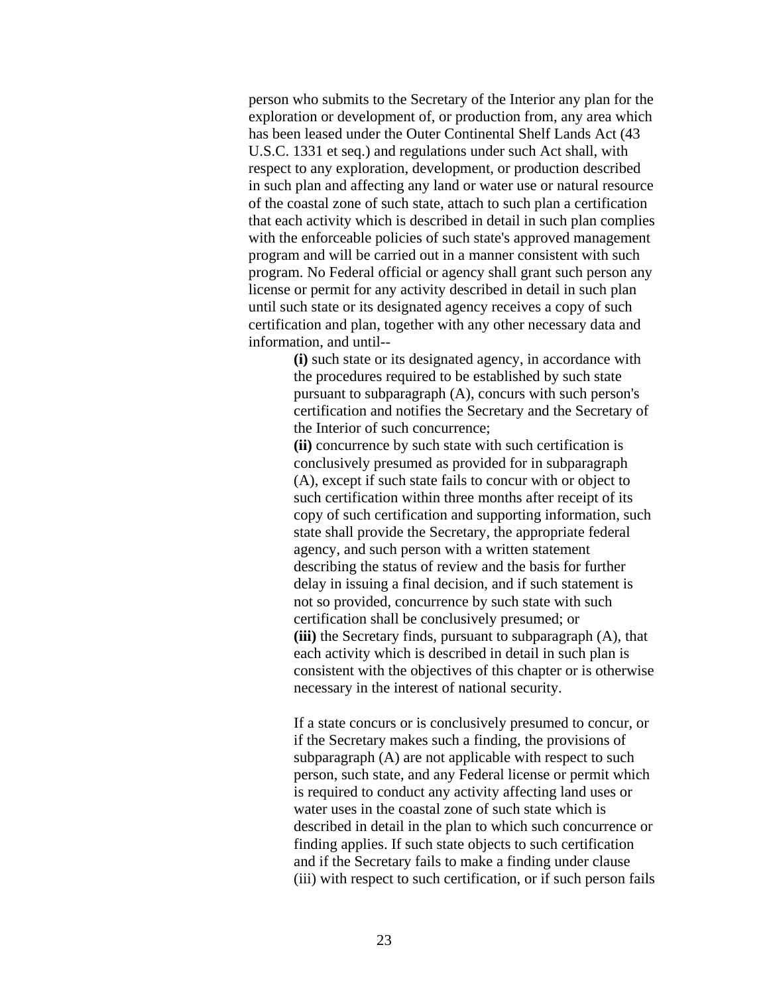person who submits to the Secretary of the Interior any plan for the exploration or development of, or production from, any area which has been leased under the Outer Continental Shelf Lands Act (43 U.S.C. 1331 et seq.) and regulations under such Act shall, with respect to any exploration, development, or production described in such plan and affecting any land or water use or natural resource of the coastal zone of such state, attach to such plan a certification that each activity which is described in detail in such plan complies with the enforceable policies of such state's approved management program and will be carried out in a manner consistent with such program. No Federal official or agency shall grant such person any license or permit for any activity described in detail in such plan until such state or its designated agency receives a copy of such certification and plan, together with any other necessary data and information, and until--

> **(i)** such state or its designated agency, in accordance with the procedures required to be established by such state pursuant to subparagraph (A), concurs with such person's certification and notifies the Secretary and the Secretary of the Interior of such concurrence;

**(ii)** concurrence by such state with such certification is conclusively presumed as provided for in subparagraph (A), except if such state fails to concur with or object to such certification within three months after receipt of its copy of such certification and supporting information, such state shall provide the Secretary, the appropriate federal agency, and such person with a written statement describing the status of review and the basis for further delay in issuing a final decision, and if such statement is not so provided, concurrence by such state with such certification shall be conclusively presumed; or **(iii)** the Secretary finds, pursuant to subparagraph (A), that each activity which is described in detail in such plan is consistent with the objectives of this chapter or is otherwise necessary in the interest of national security.

If a state concurs or is conclusively presumed to concur, or if the Secretary makes such a finding, the provisions of subparagraph (A) are not applicable with respect to such person, such state, and any Federal license or permit which is required to conduct any activity affecting land uses or water uses in the coastal zone of such state which is described in detail in the plan to which such concurrence or finding applies. If such state objects to such certification and if the Secretary fails to make a finding under clause (iii) with respect to such certification, or if such person fails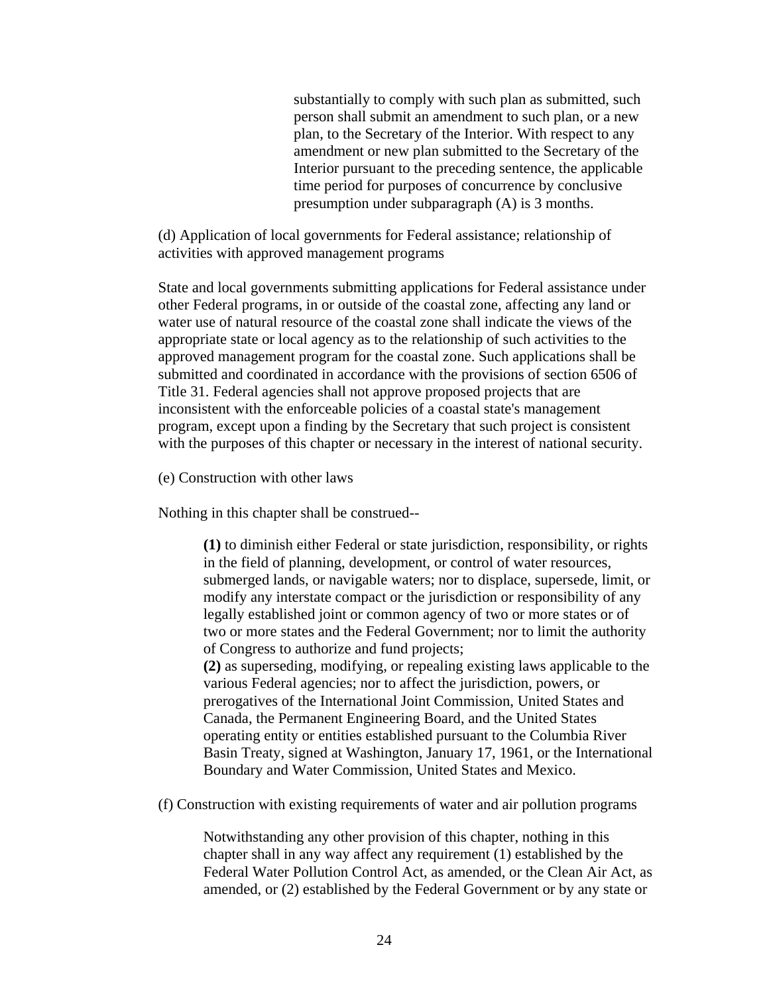substantially to comply with such plan as submitted, such person shall submit an amendment to such plan, or a new plan, to the Secretary of the Interior. With respect to any amendment or new plan submitted to the Secretary of the Interior pursuant to the preceding sentence, the applicable time period for purposes of concurrence by conclusive presumption under subparagraph (A) is 3 months.

(d) Application of local governments for Federal assistance; relationship of activities with approved management programs

State and local governments submitting applications for Federal assistance under other Federal programs, in or outside of the coastal zone, affecting any land or water use of natural resource of the coastal zone shall indicate the views of the appropriate state or local agency as to the relationship of such activities to the approved management program for the coastal zone. Such applications shall be submitted and coordinated in accordance with the provisions of section 6506 of Title 31. Federal agencies shall not approve proposed projects that are inconsistent with the enforceable policies of a coastal state's management program, except upon a finding by the Secretary that such project is consistent with the purposes of this chapter or necessary in the interest of national security.

(e) Construction with other laws

Nothing in this chapter shall be construed--

**(1)** to diminish either Federal or state jurisdiction, responsibility, or rights in the field of planning, development, or control of water resources, submerged lands, or navigable waters; nor to displace, supersede, limit, or modify any interstate compact or the jurisdiction or responsibility of any legally established joint or common agency of two or more states or of two or more states and the Federal Government; nor to limit the authority of Congress to authorize and fund projects; **(2)** as superseding, modifying, or repealing existing laws applicable to the various Federal agencies; nor to affect the jurisdiction, powers, or prerogatives of the International Joint Commission, United States and Canada, the Permanent Engineering Board, and the United States operating entity or entities established pursuant to the Columbia River Basin Treaty, signed at Washington, January 17, 1961, or the International Boundary and Water Commission, United States and Mexico.

(f) Construction with existing requirements of water and air pollution programs

Notwithstanding any other provision of this chapter, nothing in this chapter shall in any way affect any requirement (1) established by the Federal Water Pollution Control Act, as amended, or the Clean Air Act, as amended, or (2) established by the Federal Government or by any state or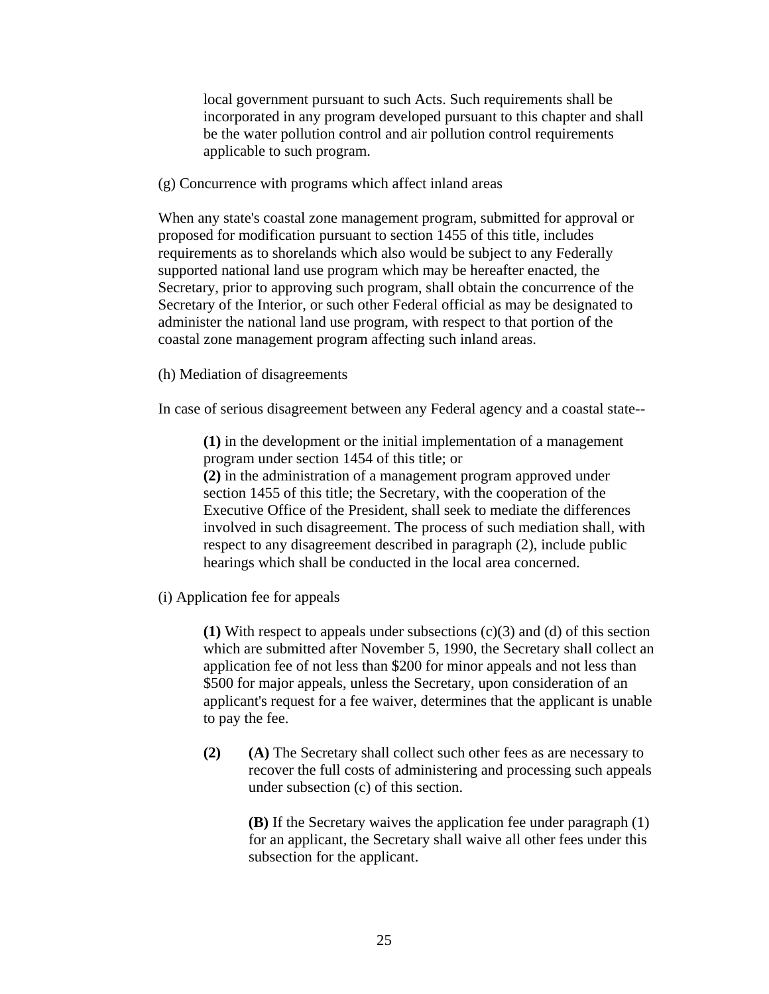local government pursuant to such Acts. Such requirements shall be incorporated in any program developed pursuant to this chapter and shall be the water pollution control and air pollution control requirements applicable to such program.

(g) Concurrence with programs which affect inland areas

When any state's coastal zone management program, submitted for approval or proposed for modification pursuant to section 1455 of this title, includes requirements as to shorelands which also would be subject to any Federally supported national land use program which may be hereafter enacted, the Secretary, prior to approving such program, shall obtain the concurrence of the Secretary of the Interior, or such other Federal official as may be designated to administer the national land use program, with respect to that portion of the coastal zone management program affecting such inland areas.

### (h) Mediation of disagreements

In case of serious disagreement between any Federal agency and a coastal state--

**(1)** in the development or the initial implementation of a management program under section 1454 of this title; or

**(2)** in the administration of a management program approved under section 1455 of this title; the Secretary, with the cooperation of the Executive Office of the President, shall seek to mediate the differences involved in such disagreement. The process of such mediation shall, with respect to any disagreement described in paragraph (2), include public hearings which shall be conducted in the local area concerned.

(i) Application fee for appeals

**(1)** With respect to appeals under subsections (c)(3) and (d) of this section which are submitted after November 5, 1990, the Secretary shall collect an application fee of not less than \$200 for minor appeals and not less than \$500 for major appeals, unless the Secretary, upon consideration of an applicant's request for a fee waiver, determines that the applicant is unable to pay the fee.

**(2) (A)** The Secretary shall collect such other fees as are necessary to recover the full costs of administering and processing such appeals under subsection (c) of this section.

> **(B)** If the Secretary waives the application fee under paragraph (1) for an applicant, the Secretary shall waive all other fees under this subsection for the applicant.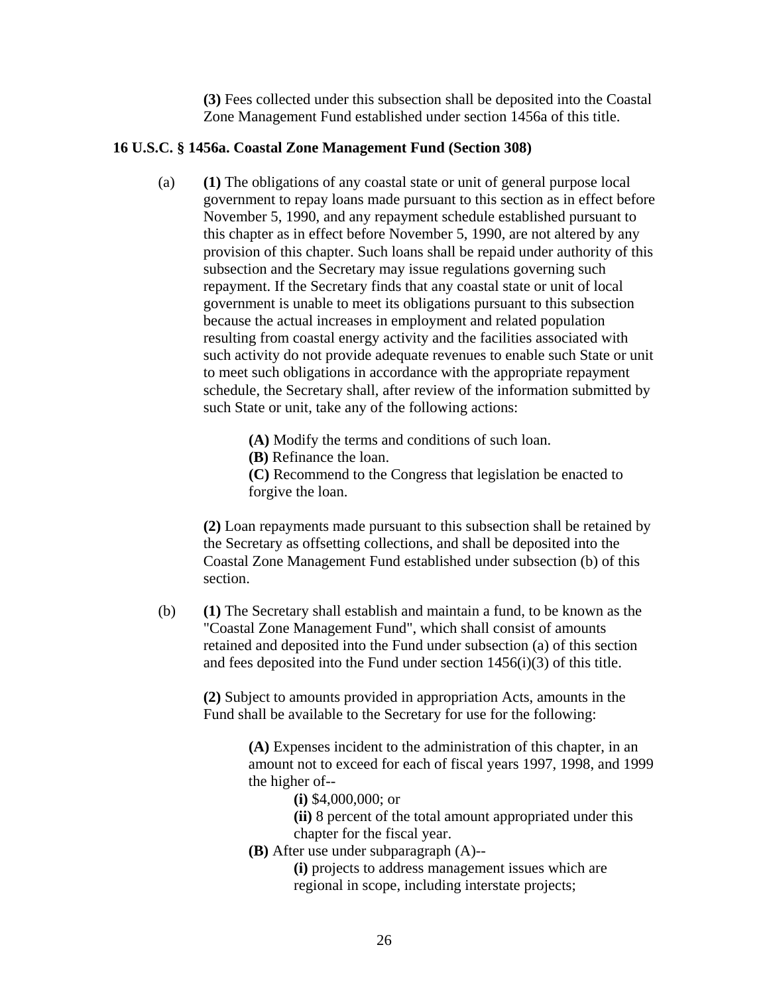**(3)** Fees collected under this subsection shall be deposited into the Coastal Zone Management Fund established under section 1456a of this title.

# **16 U.S.C. § 1456a. Coastal Zone Management Fund (Section 308)**

- (a) **(1)** The obligations of any coastal state or unit of general purpose local government to repay loans made pursuant to this section as in effect before November 5, 1990, and any repayment schedule established pursuant to this chapter as in effect before November 5, 1990, are not altered by any provision of this chapter. Such loans shall be repaid under authority of this subsection and the Secretary may issue regulations governing such repayment. If the Secretary finds that any coastal state or unit of local government is unable to meet its obligations pursuant to this subsection because the actual increases in employment and related population resulting from coastal energy activity and the facilities associated with such activity do not provide adequate revenues to enable such State or unit to meet such obligations in accordance with the appropriate repayment schedule, the Secretary shall, after review of the information submitted by such State or unit, take any of the following actions:
	- **(A)** Modify the terms and conditions of such loan.
	- **(B)** Refinance the loan.

**(C)** Recommend to the Congress that legislation be enacted to forgive the loan.

**(2)** Loan repayments made pursuant to this subsection shall be retained by the Secretary as offsetting collections, and shall be deposited into the Coastal Zone Management Fund established under subsection (b) of this section.

(b) **(1)** The Secretary shall establish and maintain a fund, to be known as the "Coastal Zone Management Fund", which shall consist of amounts retained and deposited into the Fund under subsection (a) of this section and fees deposited into the Fund under section 1456(i)(3) of this title.

**(2)** Subject to amounts provided in appropriation Acts, amounts in the Fund shall be available to the Secretary for use for the following:

> **(A)** Expenses incident to the administration of this chapter, in an amount not to exceed for each of fiscal years 1997, 1998, and 1999 the higher of--

> > **(i)** \$4,000,000; or

**(ii)** 8 percent of the total amount appropriated under this chapter for the fiscal year.

**(B)** After use under subparagraph (A)--

**(i)** projects to address management issues which are regional in scope, including interstate projects;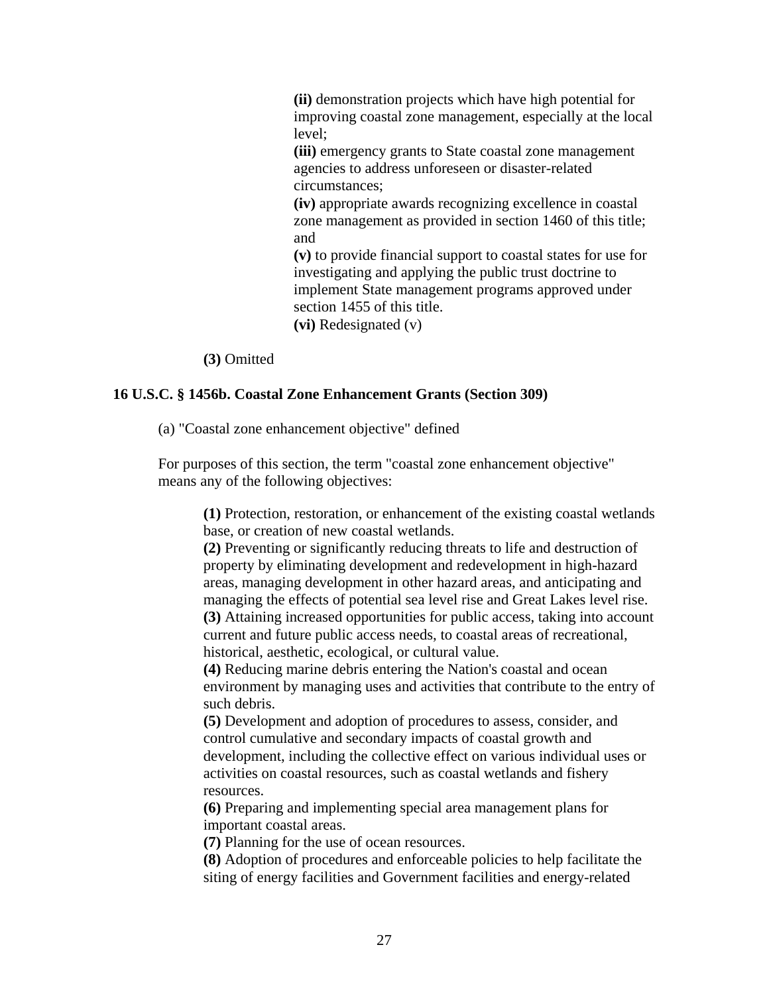**(ii)** demonstration projects which have high potential for improving coastal zone management, especially at the local level;

**(iii)** emergency grants to State coastal zone management agencies to address unforeseen or disaster-related circumstances;

**(iv)** appropriate awards recognizing excellence in coastal zone management as provided in section 1460 of this title; and

**(v)** to provide financial support to coastal states for use for investigating and applying the public trust doctrine to implement State management programs approved under section 1455 of this title. **(vi)** Redesignated (v)

**(3)** Omitted

# **16 U.S.C. § 1456b. Coastal Zone Enhancement Grants (Section 309)**

(a) "Coastal zone enhancement objective" defined

For purposes of this section, the term "coastal zone enhancement objective" means any of the following objectives:

**(1)** Protection, restoration, or enhancement of the existing coastal wetlands base, or creation of new coastal wetlands.

**(2)** Preventing or significantly reducing threats to life and destruction of property by eliminating development and redevelopment in high-hazard areas, managing development in other hazard areas, and anticipating and managing the effects of potential sea level rise and Great Lakes level rise. **(3)** Attaining increased opportunities for public access, taking into account current and future public access needs, to coastal areas of recreational, historical, aesthetic, ecological, or cultural value.

**(4)** Reducing marine debris entering the Nation's coastal and ocean environment by managing uses and activities that contribute to the entry of such debris.

**(5)** Development and adoption of procedures to assess, consider, and control cumulative and secondary impacts of coastal growth and development, including the collective effect on various individual uses or activities on coastal resources, such as coastal wetlands and fishery resources.

**(6)** Preparing and implementing special area management plans for important coastal areas.

**(7)** Planning for the use of ocean resources.

**(8)** Adoption of procedures and enforceable policies to help facilitate the siting of energy facilities and Government facilities and energy-related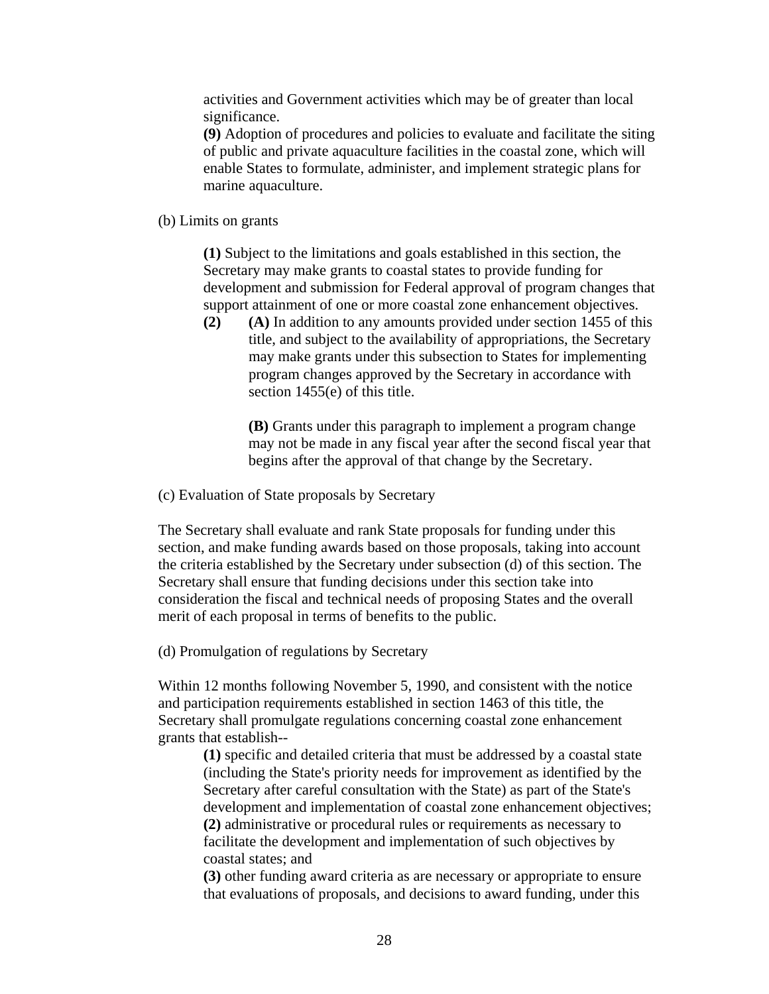activities and Government activities which may be of greater than local significance.

**(9)** Adoption of procedures and policies to evaluate and facilitate the siting of public and private aquaculture facilities in the coastal zone, which will enable States to formulate, administer, and implement strategic plans for marine aquaculture.

(b) Limits on grants

**(1)** Subject to the limitations and goals established in this section, the Secretary may make grants to coastal states to provide funding for development and submission for Federal approval of program changes that support attainment of one or more coastal zone enhancement objectives.

**(2) (A)** In addition to any amounts provided under section 1455 of this title, and subject to the availability of appropriations, the Secretary may make grants under this subsection to States for implementing program changes approved by the Secretary in accordance with section 1455(e) of this title.

**(B)** Grants under this paragraph to implement a program change may not be made in any fiscal year after the second fiscal year that begins after the approval of that change by the Secretary.

(c) Evaluation of State proposals by Secretary

The Secretary shall evaluate and rank State proposals for funding under this section, and make funding awards based on those proposals, taking into account the criteria established by the Secretary under subsection (d) of this section. The Secretary shall ensure that funding decisions under this section take into consideration the fiscal and technical needs of proposing States and the overall merit of each proposal in terms of benefits to the public.

(d) Promulgation of regulations by Secretary

Within 12 months following November 5, 1990, and consistent with the notice and participation requirements established in section 1463 of this title, the Secretary shall promulgate regulations concerning coastal zone enhancement grants that establish--

**(1)** specific and detailed criteria that must be addressed by a coastal state (including the State's priority needs for improvement as identified by the Secretary after careful consultation with the State) as part of the State's development and implementation of coastal zone enhancement objectives; **(2)** administrative or procedural rules or requirements as necessary to facilitate the development and implementation of such objectives by coastal states; and

**(3)** other funding award criteria as are necessary or appropriate to ensure that evaluations of proposals, and decisions to award funding, under this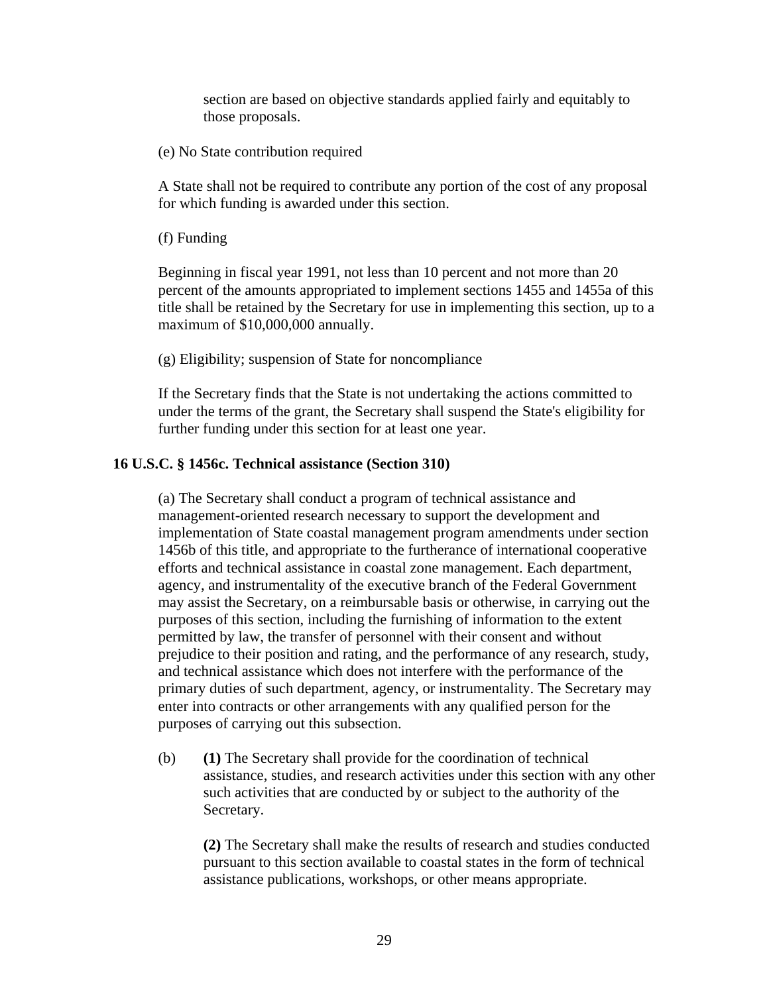section are based on objective standards applied fairly and equitably to those proposals.

(e) No State contribution required

A State shall not be required to contribute any portion of the cost of any proposal for which funding is awarded under this section.

(f) Funding

Beginning in fiscal year 1991, not less than 10 percent and not more than 20 percent of the amounts appropriated to implement sections 1455 and 1455a of this title shall be retained by the Secretary for use in implementing this section, up to a maximum of \$10,000,000 annually.

(g) Eligibility; suspension of State for noncompliance

If the Secretary finds that the State is not undertaking the actions committed to under the terms of the grant, the Secretary shall suspend the State's eligibility for further funding under this section for at least one year.

### **16 U.S.C. § 1456c. Technical assistance (Section 310)**

(a) The Secretary shall conduct a program of technical assistance and management-oriented research necessary to support the development and implementation of State coastal management program amendments under section 1456b of this title, and appropriate to the furtherance of international cooperative efforts and technical assistance in coastal zone management. Each department, agency, and instrumentality of the executive branch of the Federal Government may assist the Secretary, on a reimbursable basis or otherwise, in carrying out the purposes of this section, including the furnishing of information to the extent permitted by law, the transfer of personnel with their consent and without prejudice to their position and rating, and the performance of any research, study, and technical assistance which does not interfere with the performance of the primary duties of such department, agency, or instrumentality. The Secretary may enter into contracts or other arrangements with any qualified person for the purposes of carrying out this subsection.

(b) **(1)** The Secretary shall provide for the coordination of technical assistance, studies, and research activities under this section with any other such activities that are conducted by or subject to the authority of the Secretary.

**(2)** The Secretary shall make the results of research and studies conducted pursuant to this section available to coastal states in the form of technical assistance publications, workshops, or other means appropriate.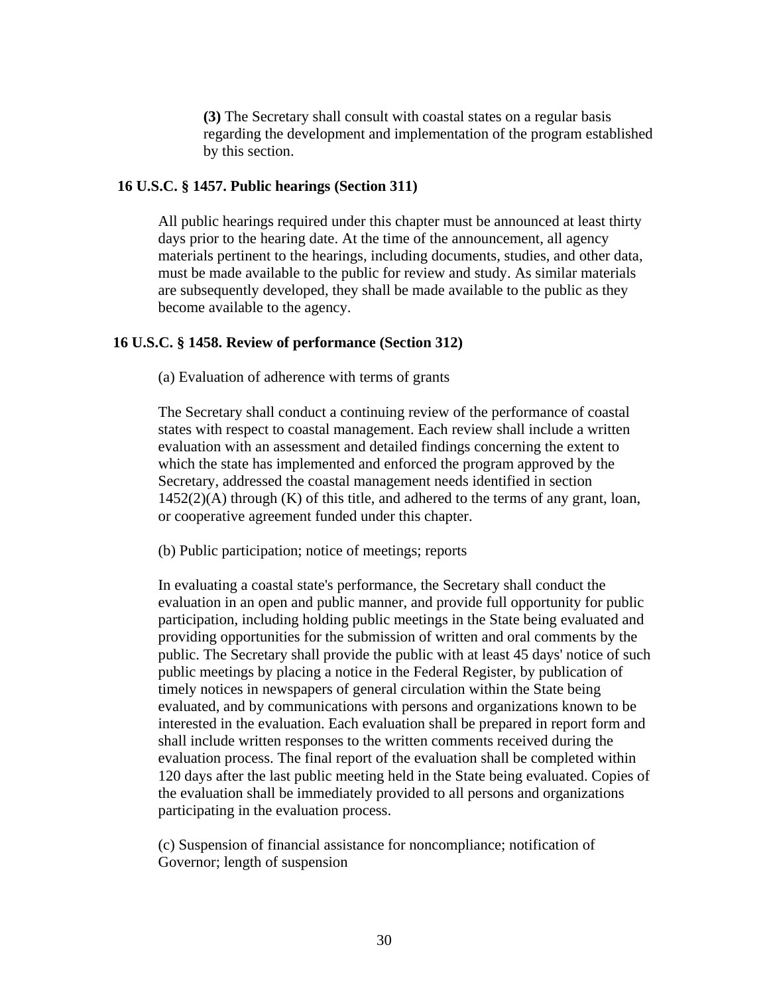**(3)** The Secretary shall consult with coastal states on a regular basis regarding the development and implementation of the program established by this section.

# **16 U.S.C. § 1457. Public hearings (Section 311)**

All public hearings required under this chapter must be announced at least thirty days prior to the hearing date. At the time of the announcement, all agency materials pertinent to the hearings, including documents, studies, and other data, must be made available to the public for review and study. As similar materials are subsequently developed, they shall be made available to the public as they become available to the agency.

# **16 U.S.C. § 1458. Review of performance (Section 312)**

(a) Evaluation of adherence with terms of grants

The Secretary shall conduct a continuing review of the performance of coastal states with respect to coastal management. Each review shall include a written evaluation with an assessment and detailed findings concerning the extent to which the state has implemented and enforced the program approved by the Secretary, addressed the coastal management needs identified in section  $1452(2)(A)$  through  $(K)$  of this title, and adhered to the terms of any grant, loan, or cooperative agreement funded under this chapter.

(b) Public participation; notice of meetings; reports

In evaluating a coastal state's performance, the Secretary shall conduct the evaluation in an open and public manner, and provide full opportunity for public participation, including holding public meetings in the State being evaluated and providing opportunities for the submission of written and oral comments by the public. The Secretary shall provide the public with at least 45 days' notice of such public meetings by placing a notice in the Federal Register, by publication of timely notices in newspapers of general circulation within the State being evaluated, and by communications with persons and organizations known to be interested in the evaluation. Each evaluation shall be prepared in report form and shall include written responses to the written comments received during the evaluation process. The final report of the evaluation shall be completed within 120 days after the last public meeting held in the State being evaluated. Copies of the evaluation shall be immediately provided to all persons and organizations participating in the evaluation process.

(c) Suspension of financial assistance for noncompliance; notification of Governor; length of suspension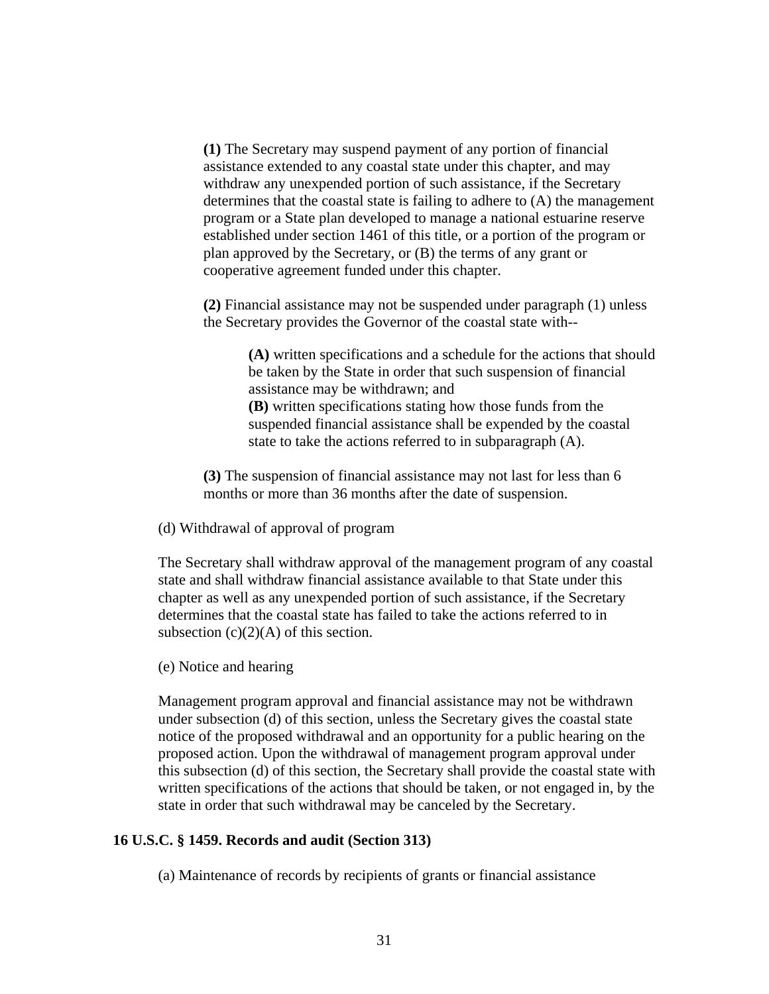**(1)** The Secretary may suspend payment of any portion of financial assistance extended to any coastal state under this chapter, and may withdraw any unexpended portion of such assistance, if the Secretary determines that the coastal state is failing to adhere to (A) the management program or a State plan developed to manage a national estuarine reserve established under section 1461 of this title, or a portion of the program or plan approved by the Secretary, or (B) the terms of any grant or cooperative agreement funded under this chapter.

**(2)** Financial assistance may not be suspended under paragraph (1) unless the Secretary provides the Governor of the coastal state with--

**(A)** written specifications and a schedule for the actions that should be taken by the State in order that such suspension of financial assistance may be withdrawn; and **(B)** written specifications stating how those funds from the suspended financial assistance shall be expended by the coastal state to take the actions referred to in subparagraph (A).

**(3)** The suspension of financial assistance may not last for less than 6 months or more than 36 months after the date of suspension.

(d) Withdrawal of approval of program

The Secretary shall withdraw approval of the management program of any coastal state and shall withdraw financial assistance available to that State under this chapter as well as any unexpended portion of such assistance, if the Secretary determines that the coastal state has failed to take the actions referred to in subsection  $(c)(2)(A)$  of this section.

(e) Notice and hearing

Management program approval and financial assistance may not be withdrawn under subsection (d) of this section, unless the Secretary gives the coastal state notice of the proposed withdrawal and an opportunity for a public hearing on the proposed action. Upon the withdrawal of management program approval under this subsection (d) of this section, the Secretary shall provide the coastal state with written specifications of the actions that should be taken, or not engaged in, by the state in order that such withdrawal may be canceled by the Secretary.

# **16 U.S.C. § 1459. Records and audit (Section 313)**

(a) Maintenance of records by recipients of grants or financial assistance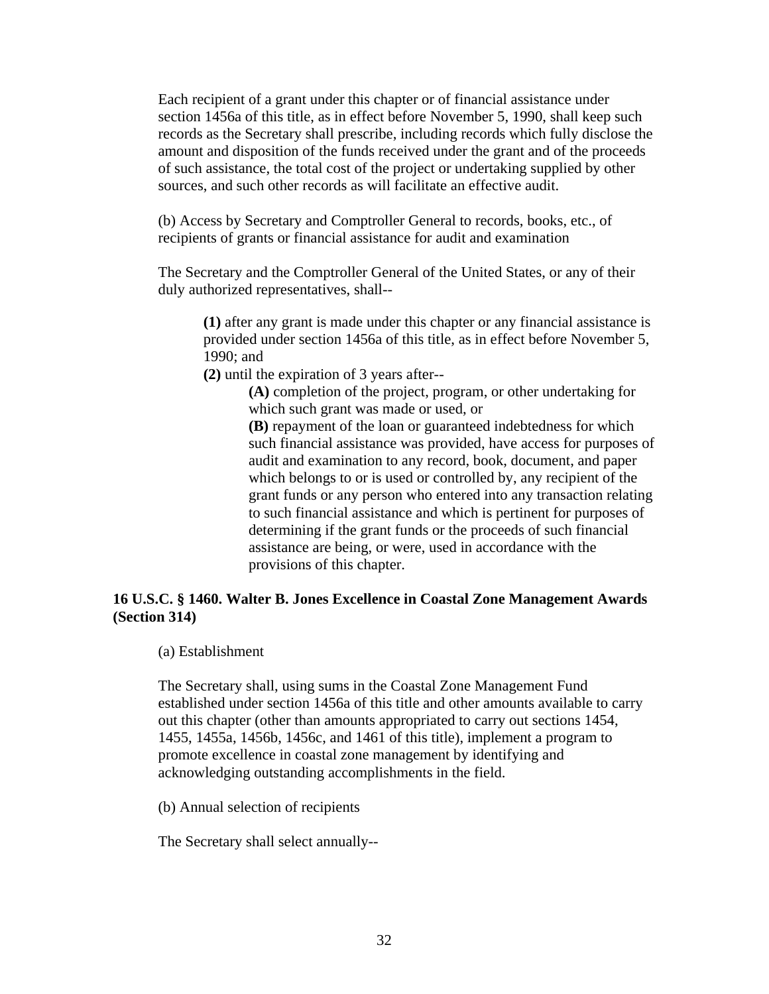Each recipient of a grant under this chapter or of financial assistance under section 1456a of this title, as in effect before November 5, 1990, shall keep such records as the Secretary shall prescribe, including records which fully disclose the amount and disposition of the funds received under the grant and of the proceeds of such assistance, the total cost of the project or undertaking supplied by other sources, and such other records as will facilitate an effective audit.

(b) Access by Secretary and Comptroller General to records, books, etc., of recipients of grants or financial assistance for audit and examination

The Secretary and the Comptroller General of the United States, or any of their duly authorized representatives, shall--

**(1)** after any grant is made under this chapter or any financial assistance is provided under section 1456a of this title, as in effect before November 5, 1990; and

**(2)** until the expiration of 3 years after--

**(A)** completion of the project, program, or other undertaking for which such grant was made or used, or

**(B)** repayment of the loan or guaranteed indebtedness for which such financial assistance was provided, have access for purposes of audit and examination to any record, book, document, and paper which belongs to or is used or controlled by, any recipient of the grant funds or any person who entered into any transaction relating to such financial assistance and which is pertinent for purposes of determining if the grant funds or the proceeds of such financial assistance are being, or were, used in accordance with the provisions of this chapter.

# **16 U.S.C. § 1460. Walter B. Jones Excellence in Coastal Zone Management Awards (Section 314)**

(a) Establishment

The Secretary shall, using sums in the Coastal Zone Management Fund established under section 1456a of this title and other amounts available to carry out this chapter (other than amounts appropriated to carry out sections 1454, 1455, 1455a, 1456b, 1456c, and 1461 of this title), implement a program to promote excellence in coastal zone management by identifying and acknowledging outstanding accomplishments in the field.

(b) Annual selection of recipients

The Secretary shall select annually--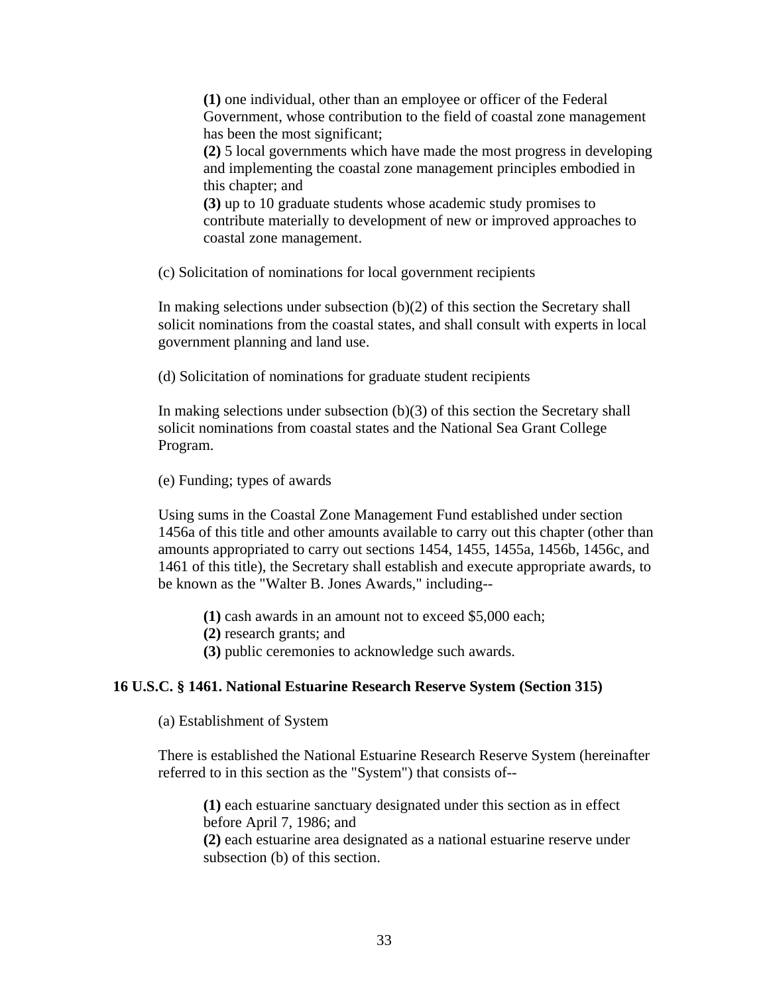**(1)** one individual, other than an employee or officer of the Federal Government, whose contribution to the field of coastal zone management has been the most significant;

**(2)** 5 local governments which have made the most progress in developing and implementing the coastal zone management principles embodied in this chapter; and

**(3)** up to 10 graduate students whose academic study promises to contribute materially to development of new or improved approaches to coastal zone management.

(c) Solicitation of nominations for local government recipients

In making selections under subsection (b)(2) of this section the Secretary shall solicit nominations from the coastal states, and shall consult with experts in local government planning and land use.

(d) Solicitation of nominations for graduate student recipients

In making selections under subsection (b)(3) of this section the Secretary shall solicit nominations from coastal states and the National Sea Grant College Program.

(e) Funding; types of awards

Using sums in the Coastal Zone Management Fund established under section 1456a of this title and other amounts available to carry out this chapter (other than amounts appropriated to carry out sections 1454, 1455, 1455a, 1456b, 1456c, and 1461 of this title), the Secretary shall establish and execute appropriate awards, to be known as the "Walter B. Jones Awards," including--

**(1)** cash awards in an amount not to exceed \$5,000 each;

- **(2)** research grants; and
- **(3)** public ceremonies to acknowledge such awards.

# **16 U.S.C. § 1461. National Estuarine Research Reserve System (Section 315)**

(a) Establishment of System

There is established the National Estuarine Research Reserve System (hereinafter referred to in this section as the "System") that consists of--

**(1)** each estuarine sanctuary designated under this section as in effect before April 7, 1986; and

**(2)** each estuarine area designated as a national estuarine reserve under subsection (b) of this section.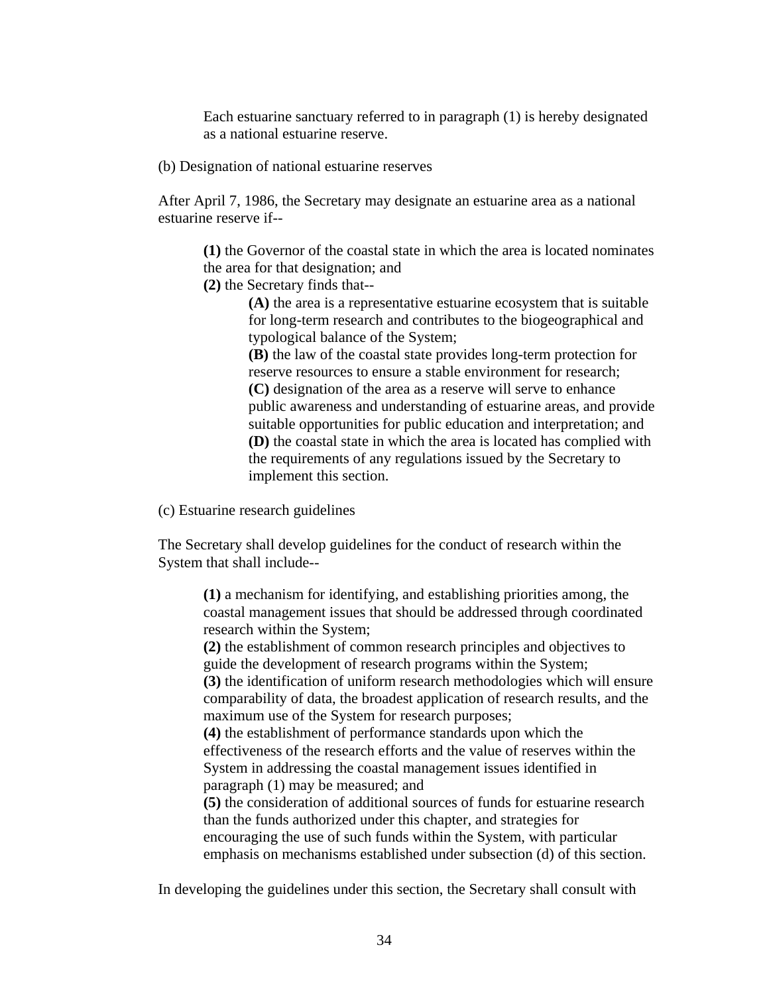Each estuarine sanctuary referred to in paragraph (1) is hereby designated as a national estuarine reserve.

(b) Designation of national estuarine reserves

After April 7, 1986, the Secretary may designate an estuarine area as a national estuarine reserve if--

**(1)** the Governor of the coastal state in which the area is located nominates the area for that designation; and

**(2)** the Secretary finds that--

**(A)** the area is a representative estuarine ecosystem that is suitable for long-term research and contributes to the biogeographical and typological balance of the System;

**(B)** the law of the coastal state provides long-term protection for reserve resources to ensure a stable environment for research; **(C)** designation of the area as a reserve will serve to enhance public awareness and understanding of estuarine areas, and provide suitable opportunities for public education and interpretation; and **(D)** the coastal state in which the area is located has complied with the requirements of any regulations issued by the Secretary to implement this section.

(c) Estuarine research guidelines

The Secretary shall develop guidelines for the conduct of research within the System that shall include--

**(1)** a mechanism for identifying, and establishing priorities among, the coastal management issues that should be addressed through coordinated research within the System;

**(2)** the establishment of common research principles and objectives to guide the development of research programs within the System; **(3)** the identification of uniform research methodologies which will ensure comparability of data, the broadest application of research results, and the maximum use of the System for research purposes;

**(4)** the establishment of performance standards upon which the effectiveness of the research efforts and the value of reserves within the System in addressing the coastal management issues identified in paragraph (1) may be measured; and

**(5)** the consideration of additional sources of funds for estuarine research than the funds authorized under this chapter, and strategies for encouraging the use of such funds within the System, with particular emphasis on mechanisms established under subsection (d) of this section.

In developing the guidelines under this section, the Secretary shall consult with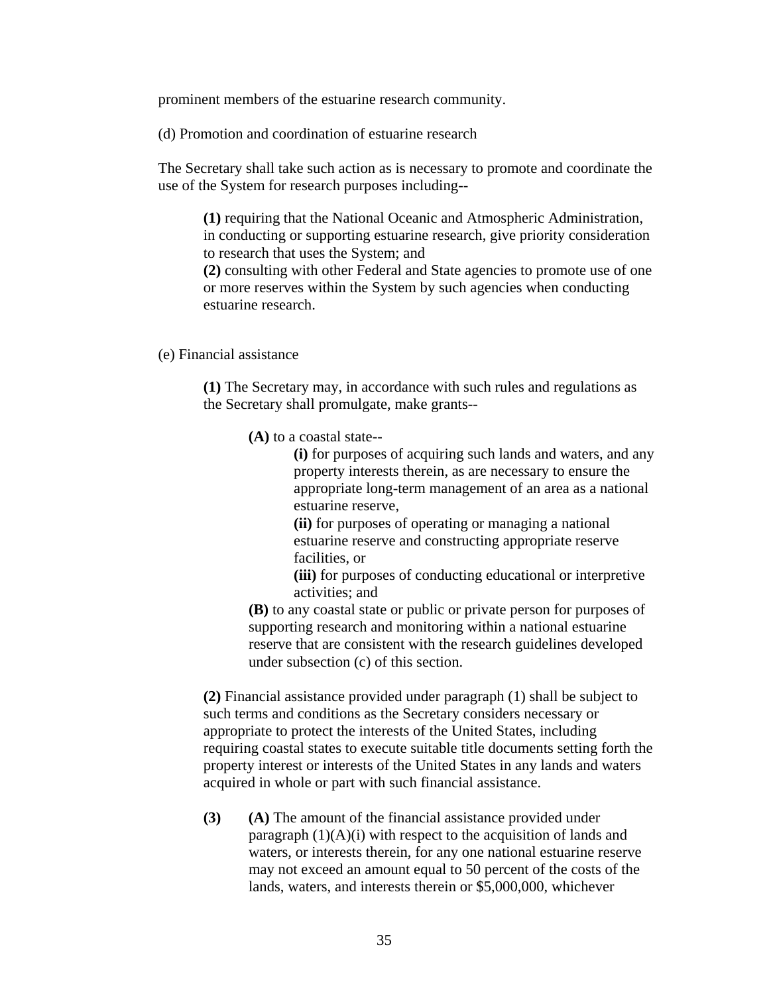prominent members of the estuarine research community.

(d) Promotion and coordination of estuarine research

The Secretary shall take such action as is necessary to promote and coordinate the use of the System for research purposes including--

**(1)** requiring that the National Oceanic and Atmospheric Administration, in conducting or supporting estuarine research, give priority consideration to research that uses the System; and

**(2)** consulting with other Federal and State agencies to promote use of one or more reserves within the System by such agencies when conducting estuarine research.

# (e) Financial assistance

**(1)** The Secretary may, in accordance with such rules and regulations as the Secretary shall promulgate, make grants--

**(A)** to a coastal state--

**(i)** for purposes of acquiring such lands and waters, and any property interests therein, as are necessary to ensure the appropriate long-term management of an area as a national estuarine reserve,

**(ii)** for purposes of operating or managing a national estuarine reserve and constructing appropriate reserve facilities, or

**(iii)** for purposes of conducting educational or interpretive activities; and

**(B)** to any coastal state or public or private person for purposes of supporting research and monitoring within a national estuarine reserve that are consistent with the research guidelines developed under subsection (c) of this section.

**(2)** Financial assistance provided under paragraph (1) shall be subject to such terms and conditions as the Secretary considers necessary or appropriate to protect the interests of the United States, including requiring coastal states to execute suitable title documents setting forth the property interest or interests of the United States in any lands and waters acquired in whole or part with such financial assistance.

**(3) (A)** The amount of the financial assistance provided under paragraph  $(1)(A)(i)$  with respect to the acquisition of lands and waters, or interests therein, for any one national estuarine reserve may not exceed an amount equal to 50 percent of the costs of the lands, waters, and interests therein or \$5,000,000, whichever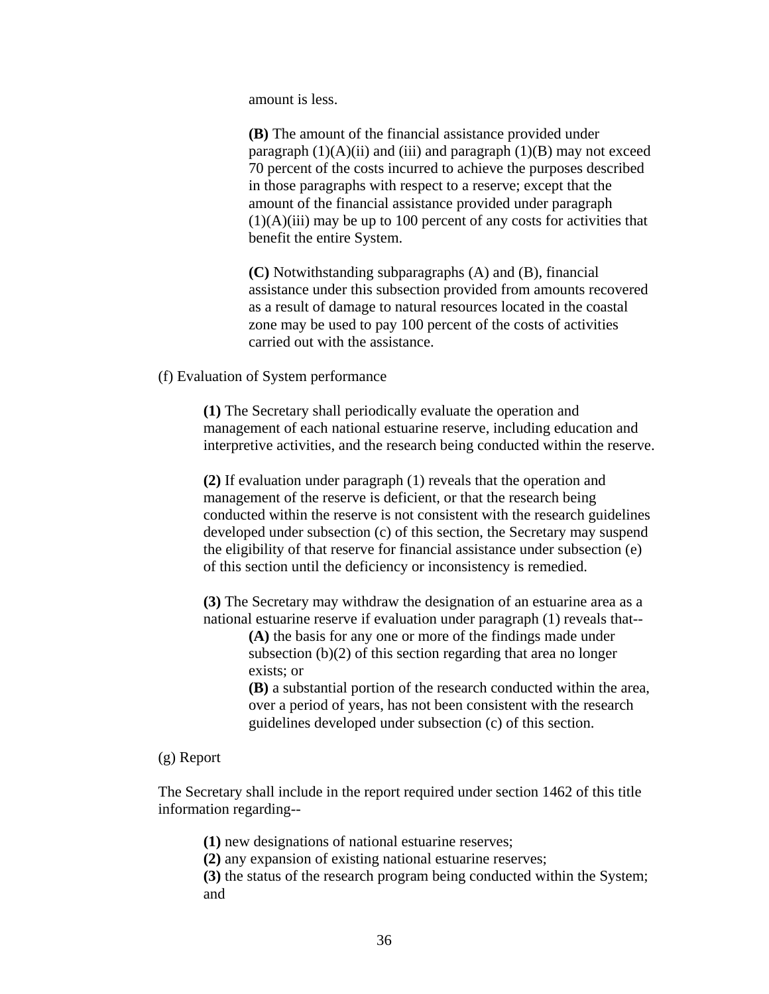amount is less.

**(B)** The amount of the financial assistance provided under paragraph  $(1)(A)(ii)$  and  $(iii)$  and paragraph  $(1)(B)$  may not exceed 70 percent of the costs incurred to achieve the purposes described in those paragraphs with respect to a reserve; except that the amount of the financial assistance provided under paragraph  $(1)(A)(iii)$  may be up to 100 percent of any costs for activities that benefit the entire System.

**(C)** Notwithstanding subparagraphs (A) and (B), financial assistance under this subsection provided from amounts recovered as a result of damage to natural resources located in the coastal zone may be used to pay 100 percent of the costs of activities carried out with the assistance.

# (f) Evaluation of System performance

**(1)** The Secretary shall periodically evaluate the operation and management of each national estuarine reserve, including education and interpretive activities, and the research being conducted within the reserve.

**(2)** If evaluation under paragraph (1) reveals that the operation and management of the reserve is deficient, or that the research being conducted within the reserve is not consistent with the research guidelines developed under subsection (c) of this section, the Secretary may suspend the eligibility of that reserve for financial assistance under subsection (e) of this section until the deficiency or inconsistency is remedied.

**(3)** The Secretary may withdraw the designation of an estuarine area as a national estuarine reserve if evaluation under paragraph (1) reveals that--

**(A)** the basis for any one or more of the findings made under subsection (b)(2) of this section regarding that area no longer exists; or

**(B)** a substantial portion of the research conducted within the area, over a period of years, has not been consistent with the research guidelines developed under subsection (c) of this section.

### (g) Report

The Secretary shall include in the report required under section 1462 of this title information regarding--

**(1)** new designations of national estuarine reserves;

**(2)** any expansion of existing national estuarine reserves;

**(3)** the status of the research program being conducted within the System; and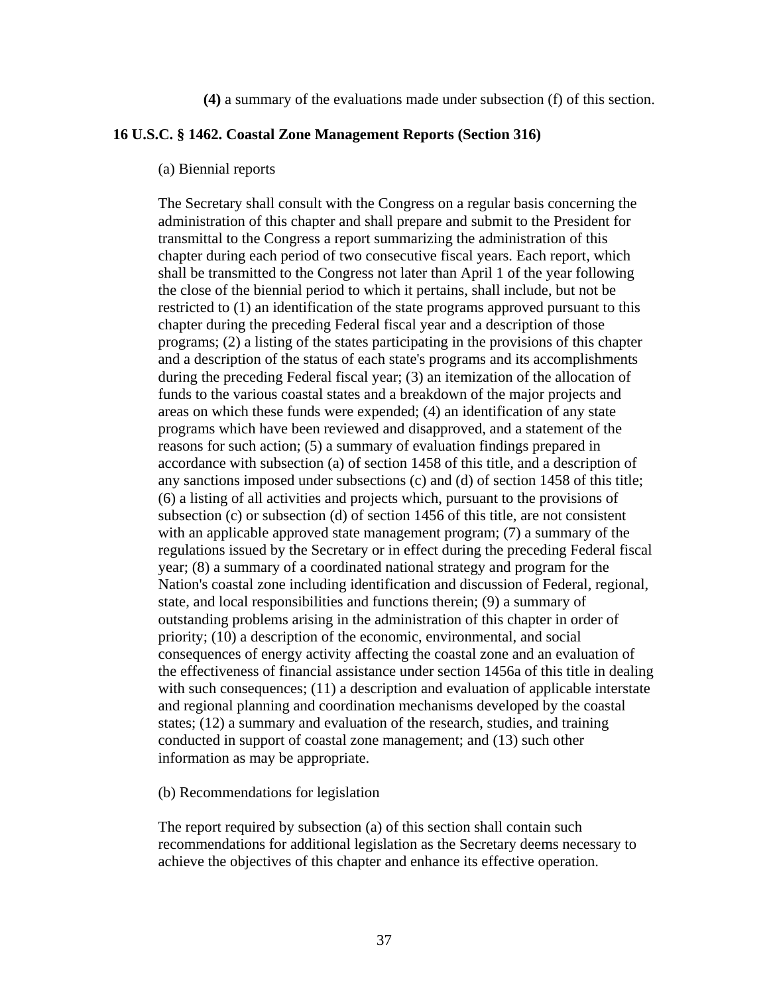**(4)** a summary of the evaluations made under subsection (f) of this section.

# **16 U.S.C. § 1462. Coastal Zone Management Reports (Section 316)**

#### (a) Biennial reports

The Secretary shall consult with the Congress on a regular basis concerning the administration of this chapter and shall prepare and submit to the President for transmittal to the Congress a report summarizing the administration of this chapter during each period of two consecutive fiscal years. Each report, which shall be transmitted to the Congress not later than April 1 of the year following the close of the biennial period to which it pertains, shall include, but not be restricted to (1) an identification of the state programs approved pursuant to this chapter during the preceding Federal fiscal year and a description of those programs; (2) a listing of the states participating in the provisions of this chapter and a description of the status of each state's programs and its accomplishments during the preceding Federal fiscal year; (3) an itemization of the allocation of funds to the various coastal states and a breakdown of the major projects and areas on which these funds were expended; (4) an identification of any state programs which have been reviewed and disapproved, and a statement of the reasons for such action; (5) a summary of evaluation findings prepared in accordance with subsection (a) of section 1458 of this title, and a description of any sanctions imposed under subsections (c) and (d) of section 1458 of this title; (6) a listing of all activities and projects which, pursuant to the provisions of subsection (c) or subsection (d) of section 1456 of this title, are not consistent with an applicable approved state management program; (7) a summary of the regulations issued by the Secretary or in effect during the preceding Federal fiscal year; (8) a summary of a coordinated national strategy and program for the Nation's coastal zone including identification and discussion of Federal, regional, state, and local responsibilities and functions therein; (9) a summary of outstanding problems arising in the administration of this chapter in order of priority; (10) a description of the economic, environmental, and social consequences of energy activity affecting the coastal zone and an evaluation of the effectiveness of financial assistance under section 1456a of this title in dealing with such consequences; (11) a description and evaluation of applicable interstate and regional planning and coordination mechanisms developed by the coastal states; (12) a summary and evaluation of the research, studies, and training conducted in support of coastal zone management; and (13) such other information as may be appropriate.

#### (b) Recommendations for legislation

The report required by subsection (a) of this section shall contain such recommendations for additional legislation as the Secretary deems necessary to achieve the objectives of this chapter and enhance its effective operation.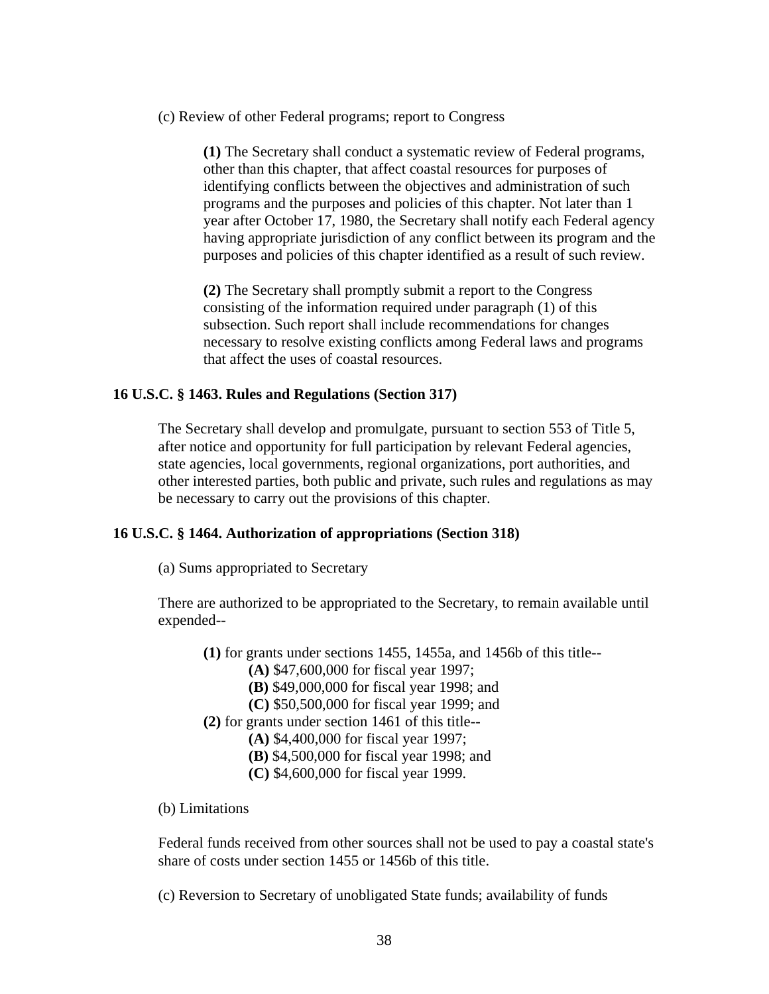(c) Review of other Federal programs; report to Congress

**(1)** The Secretary shall conduct a systematic review of Federal programs, other than this chapter, that affect coastal resources for purposes of identifying conflicts between the objectives and administration of such programs and the purposes and policies of this chapter. Not later than 1 year after October 17, 1980, the Secretary shall notify each Federal agency having appropriate jurisdiction of any conflict between its program and the purposes and policies of this chapter identified as a result of such review.

**(2)** The Secretary shall promptly submit a report to the Congress consisting of the information required under paragraph (1) of this subsection. Such report shall include recommendations for changes necessary to resolve existing conflicts among Federal laws and programs that affect the uses of coastal resources.

# **16 U.S.C. § 1463. Rules and Regulations (Section 317)**

The Secretary shall develop and promulgate, pursuant to section 553 of Title 5, after notice and opportunity for full participation by relevant Federal agencies, state agencies, local governments, regional organizations, port authorities, and other interested parties, both public and private, such rules and regulations as may be necessary to carry out the provisions of this chapter.

# **16 U.S.C. § 1464. Authorization of appropriations (Section 318)**

(a) Sums appropriated to Secretary

There are authorized to be appropriated to the Secretary, to remain available until expended--

- **(1)** for grants under sections 1455, 1455a, and 1456b of this title--
	- **(A)** \$47,600,000 for fiscal year 1997;
	- **(B)** \$49,000,000 for fiscal year 1998; and
	- **(C)** \$50,500,000 for fiscal year 1999; and
- **(2)** for grants under section 1461 of this title--
	- **(A)** \$4,400,000 for fiscal year 1997;
	- **(B)** \$4,500,000 for fiscal year 1998; and
	- **(C)** \$4,600,000 for fiscal year 1999.

# (b) Limitations

Federal funds received from other sources shall not be used to pay a coastal state's share of costs under section 1455 or 1456b of this title.

(c) Reversion to Secretary of unobligated State funds; availability of funds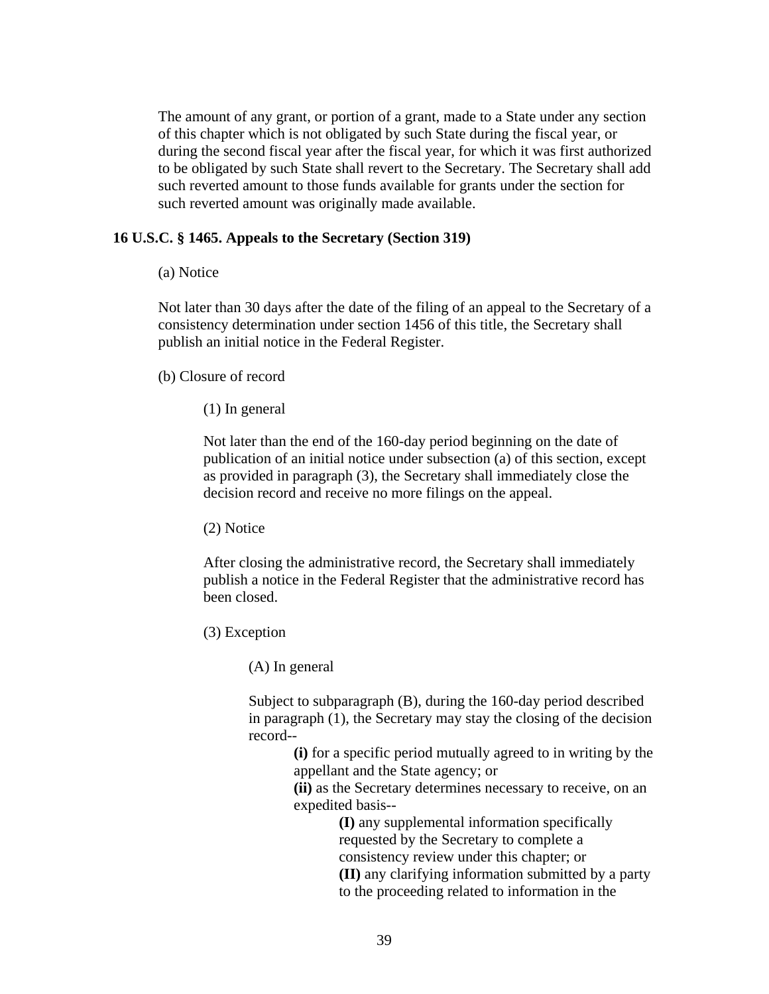The amount of any grant, or portion of a grant, made to a State under any section of this chapter which is not obligated by such State during the fiscal year, or during the second fiscal year after the fiscal year, for which it was first authorized to be obligated by such State shall revert to the Secretary. The Secretary shall add such reverted amount to those funds available for grants under the section for such reverted amount was originally made available.

# **16 U.S.C. § 1465. Appeals to the Secretary (Section 319)**

# (a) Notice

Not later than 30 days after the date of the filing of an appeal to the Secretary of a consistency determination under section 1456 of this title, the Secretary shall publish an initial notice in the Federal Register.

(b) Closure of record

(1) In general

Not later than the end of the 160-day period beginning on the date of publication of an initial notice under subsection (a) of this section, except as provided in paragraph (3), the Secretary shall immediately close the decision record and receive no more filings on the appeal.

(2) Notice

After closing the administrative record, the Secretary shall immediately publish a notice in the Federal Register that the administrative record has been closed.

(3) Exception

(A) In general

Subject to subparagraph (B), during the 160-day period described in paragraph (1), the Secretary may stay the closing of the decision record--

> **(i)** for a specific period mutually agreed to in writing by the appellant and the State agency; or

**(ii)** as the Secretary determines necessary to receive, on an expedited basis--

> **(I)** any supplemental information specifically requested by the Secretary to complete a consistency review under this chapter; or **(II)** any clarifying information submitted by a party to the proceeding related to information in the